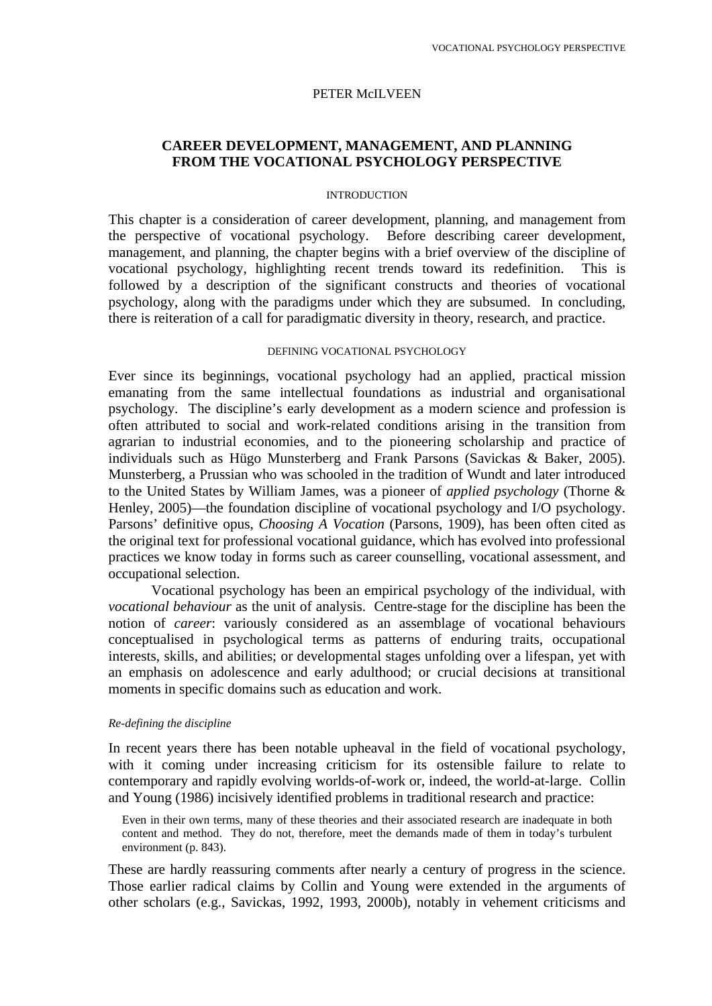#### PETER McILVEEN

# **CAREER DEVELOPMENT, MANAGEMENT, AND PLANNING FROM THE VOCATIONAL PSYCHOLOGY PERSPECTIVE**

## **INTRODUCTION**

This chapter is a consideration of career development, planning, and management from the perspective of vocational psychology. Before describing career development, management, and planning, the chapter begins with a brief overview of the discipline of vocational psychology, highlighting recent trends toward its redefinition. This is followed by a description of the significant constructs and theories of vocational psychology, along with the paradigms under which they are subsumed. In concluding, there is reiteration of a call for paradigmatic diversity in theory, research, and practice.

## DEFINING VOCATIONAL PSYCHOLOGY

Ever since its beginnings, vocational psychology had an applied, practical mission emanating from the same intellectual foundations as industrial and organisational psychology. The discipline's early development as a modern science and profession is often attributed to social and work-related conditions arising in the transition from agrarian to industrial economies, and to the pioneering scholarship and practice of individuals such as Hügo Munsterberg and Frank Parsons (Savickas & Baker, 2005). Munsterberg, a Prussian who was schooled in the tradition of Wundt and later introduced to the United States by William James, was a pioneer of *applied psychology* (Thorne & Henley, 2005)—the foundation discipline of vocational psychology and I/O psychology. Parsons' definitive opus, *Choosing A Vocation* (Parsons, 1909), has been often cited as the original text for professional vocational guidance, which has evolved into professional practices we know today in forms such as career counselling, vocational assessment, and occupational selection.

Vocational psychology has been an empirical psychology of the individual, with *vocational behaviour* as the unit of analysis. Centre-stage for the discipline has been the notion of *career*: variously considered as an assemblage of vocational behaviours conceptualised in psychological terms as patterns of enduring traits, occupational interests, skills, and abilities; or developmental stages unfolding over a lifespan, yet with an emphasis on adolescence and early adulthood; or crucial decisions at transitional moments in specific domains such as education and work.

## *Re-defining the discipline*

In recent years there has been notable upheaval in the field of vocational psychology, with it coming under increasing criticism for its ostensible failure to relate to contemporary and rapidly evolving worlds-of-work or, indeed, the world-at-large. Collin and Young (1986) incisively identified problems in traditional research and practice:

Even in their own terms, many of these theories and their associated research are inadequate in both content and method. They do not, therefore, meet the demands made of them in today's turbulent environment (p. 843).

These are hardly reassuring comments after nearly a century of progress in the science. Those earlier radical claims by Collin and Young were extended in the arguments of other scholars (e.g., Savickas, 1992, 1993, 2000b), notably in vehement criticisms and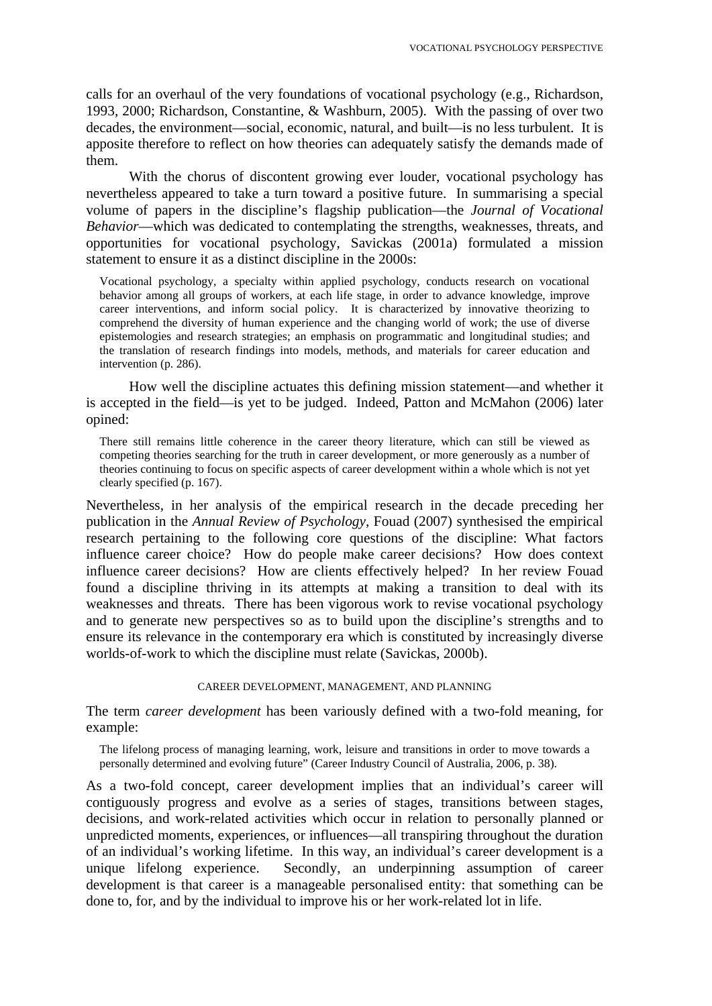calls for an overhaul of the very foundations of vocational psychology (e.g., Richardson, 1993, 2000; Richardson, Constantine, & Washburn, 2005). With the passing of over two decades, the environment—social, economic, natural, and built—is no less turbulent. It is apposite therefore to reflect on how theories can adequately satisfy the demands made of them.

With the chorus of discontent growing ever louder, vocational psychology has nevertheless appeared to take a turn toward a positive future. In summarising a special volume of papers in the discipline's flagship publication—the *Journal of Vocational Behavior*—which was dedicated to contemplating the strengths, weaknesses, threats, and opportunities for vocational psychology, Savickas (2001a) formulated a mission statement to ensure it as a distinct discipline in the 2000s:

Vocational psychology, a specialty within applied psychology, conducts research on vocational behavior among all groups of workers, at each life stage, in order to advance knowledge, improve career interventions, and inform social policy. It is characterized by innovative theorizing to comprehend the diversity of human experience and the changing world of work; the use of diverse epistemologies and research strategies; an emphasis on programmatic and longitudinal studies; and the translation of research findings into models, methods, and materials for career education and intervention (p. 286).

How well the discipline actuates this defining mission statement—and whether it is accepted in the field—is yet to be judged. Indeed, Patton and McMahon (2006) later opined:

There still remains little coherence in the career theory literature, which can still be viewed as competing theories searching for the truth in career development, or more generously as a number of theories continuing to focus on specific aspects of career development within a whole which is not yet clearly specified (p. 167).

Nevertheless, in her analysis of the empirical research in the decade preceding her publication in the *Annual Review of Psychology*, Fouad (2007) synthesised the empirical research pertaining to the following core questions of the discipline: What factors influence career choice? How do people make career decisions? How does context influence career decisions? How are clients effectively helped? In her review Fouad found a discipline thriving in its attempts at making a transition to deal with its weaknesses and threats. There has been vigorous work to revise vocational psychology and to generate new perspectives so as to build upon the discipline's strengths and to ensure its relevance in the contemporary era which is constituted by increasingly diverse worlds-of-work to which the discipline must relate (Savickas, 2000b).

## CAREER DEVELOPMENT, MANAGEMENT, AND PLANNING

The term *career development* has been variously defined with a two-fold meaning, for example:

The lifelong process of managing learning, work, leisure and transitions in order to move towards a personally determined and evolving future" (Career Industry Council of Australia, 2006, p. 38).

As a two-fold concept, career development implies that an individual's career will contiguously progress and evolve as a series of stages, transitions between stages, decisions, and work-related activities which occur in relation to personally planned or unpredicted moments, experiences, or influences—all transpiring throughout the duration of an individual's working lifetime. In this way, an individual's career development is a unique lifelong experience. Secondly, an underpinning assumption of career development is that career is a manageable personalised entity: that something can be done to, for, and by the individual to improve his or her work-related lot in life.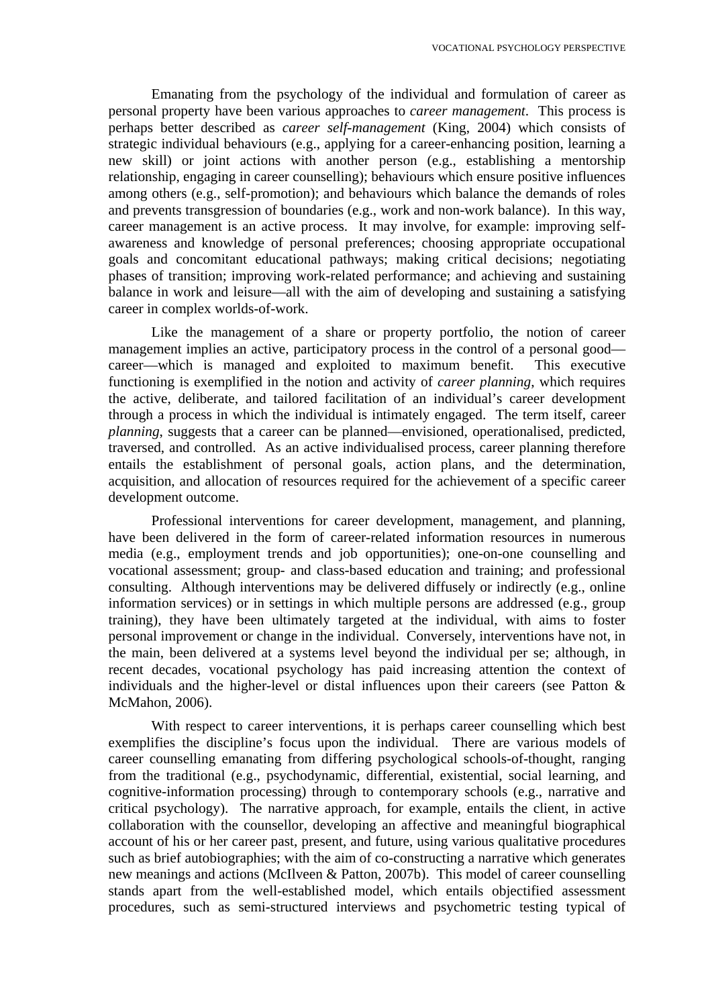Emanating from the psychology of the individual and formulation of career as personal property have been various approaches to *career management*. This process is perhaps better described as *career self-management* (King, 2004) which consists of strategic individual behaviours (e.g., applying for a career-enhancing position, learning a new skill) or joint actions with another person (e.g., establishing a mentorship relationship, engaging in career counselling); behaviours which ensure positive influences among others (e.g., self-promotion); and behaviours which balance the demands of roles and prevents transgression of boundaries (e.g., work and non-work balance). In this way, career management is an active process. It may involve, for example: improving selfawareness and knowledge of personal preferences; choosing appropriate occupational goals and concomitant educational pathways; making critical decisions; negotiating phases of transition; improving work-related performance; and achieving and sustaining balance in work and leisure—all with the aim of developing and sustaining a satisfying career in complex worlds-of-work.

Like the management of a share or property portfolio, the notion of career management implies an active, participatory process in the control of a personal good career—which is managed and exploited to maximum benefit. This executive functioning is exemplified in the notion and activity of *career planning*, which requires the active, deliberate, and tailored facilitation of an individual's career development through a process in which the individual is intimately engaged. The term itself, career *planning*, suggests that a career can be planned—envisioned, operationalised, predicted, traversed, and controlled. As an active individualised process, career planning therefore entails the establishment of personal goals, action plans, and the determination, acquisition, and allocation of resources required for the achievement of a specific career development outcome.

Professional interventions for career development, management, and planning, have been delivered in the form of career-related information resources in numerous media (e.g., employment trends and job opportunities); one-on-one counselling and vocational assessment; group- and class-based education and training; and professional consulting. Although interventions may be delivered diffusely or indirectly (e.g., online information services) or in settings in which multiple persons are addressed (e.g., group training), they have been ultimately targeted at the individual, with aims to foster personal improvement or change in the individual. Conversely, interventions have not, in the main, been delivered at a systems level beyond the individual per se; although, in recent decades, vocational psychology has paid increasing attention the context of individuals and the higher-level or distal influences upon their careers (see Patton & McMahon, 2006).

With respect to career interventions, it is perhaps career counselling which best exemplifies the discipline's focus upon the individual. There are various models of career counselling emanating from differing psychological schools-of-thought, ranging from the traditional (e.g., psychodynamic, differential, existential, social learning, and cognitive-information processing) through to contemporary schools (e.g., narrative and critical psychology). The narrative approach, for example, entails the client, in active collaboration with the counsellor, developing an affective and meaningful biographical account of his or her career past, present, and future, using various qualitative procedures such as brief autobiographies; with the aim of co-constructing a narrative which generates new meanings and actions (McIlveen & Patton, 2007b). This model of career counselling stands apart from the well-established model, which entails objectified assessment procedures, such as semi-structured interviews and psychometric testing typical of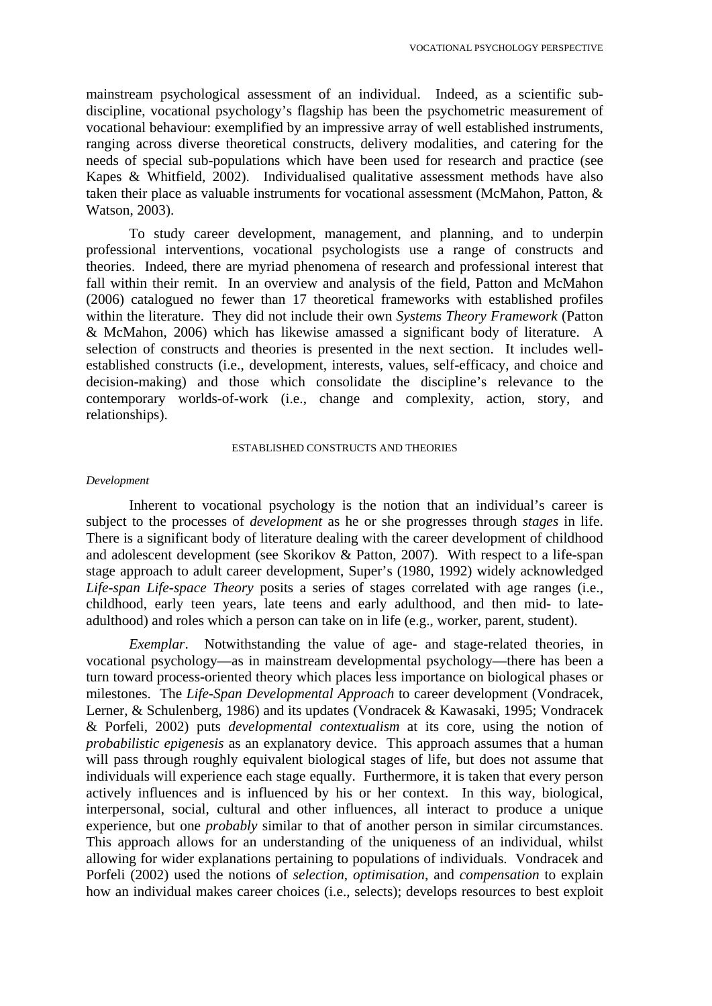mainstream psychological assessment of an individual. Indeed, as a scientific subdiscipline, vocational psychology's flagship has been the psychometric measurement of vocational behaviour: exemplified by an impressive array of well established instruments, ranging across diverse theoretical constructs, delivery modalities, and catering for the needs of special sub-populations which have been used for research and practice (see Kapes & Whitfield, 2002). Individualised qualitative assessment methods have also taken their place as valuable instruments for vocational assessment (McMahon, Patton, & Watson, 2003).

To study career development, management, and planning, and to underpin professional interventions, vocational psychologists use a range of constructs and theories. Indeed, there are myriad phenomena of research and professional interest that fall within their remit. In an overview and analysis of the field, Patton and McMahon (2006) catalogued no fewer than 17 theoretical frameworks with established profiles within the literature. They did not include their own *Systems Theory Framework* (Patton & McMahon, 2006) which has likewise amassed a significant body of literature. A selection of constructs and theories is presented in the next section. It includes wellestablished constructs (i.e., development, interests, values, self-efficacy, and choice and decision-making) and those which consolidate the discipline's relevance to the contemporary worlds-of-work (i.e., change and complexity, action, story, and relationships).

## ESTABLISHED CONSTRUCTS AND THEORIES

## *Development*

Inherent to vocational psychology is the notion that an individual's career is subject to the processes of *development* as he or she progresses through *stages* in life. There is a significant body of literature dealing with the career development of childhood and adolescent development (see Skorikov & Patton, 2007). With respect to a life-span stage approach to adult career development, Super's (1980, 1992) widely acknowledged *Life-span Life-space Theory* posits a series of stages correlated with age ranges (i.e., childhood, early teen years, late teens and early adulthood, and then mid- to lateadulthood) and roles which a person can take on in life (e.g., worker, parent, student).

*Exemplar*. Notwithstanding the value of age- and stage-related theories, in vocational psychology—as in mainstream developmental psychology—there has been a turn toward process-oriented theory which places less importance on biological phases or milestones. The *Life-Span Developmental Approach* to career development (Vondracek, Lerner, & Schulenberg, 1986) and its updates (Vondracek & Kawasaki, 1995; Vondracek & Porfeli, 2002) puts *developmental contextualism* at its core, using the notion of *probabilistic epigenesis* as an explanatory device. This approach assumes that a human will pass through roughly equivalent biological stages of life, but does not assume that individuals will experience each stage equally. Furthermore, it is taken that every person actively influences and is influenced by his or her context. In this way, biological, interpersonal, social, cultural and other influences, all interact to produce a unique experience, but one *probably* similar to that of another person in similar circumstances. This approach allows for an understanding of the uniqueness of an individual, whilst allowing for wider explanations pertaining to populations of individuals. Vondracek and Porfeli (2002) used the notions of *selection*, *optimisation*, and *compensation* to explain how an individual makes career choices (i.e., selects); develops resources to best exploit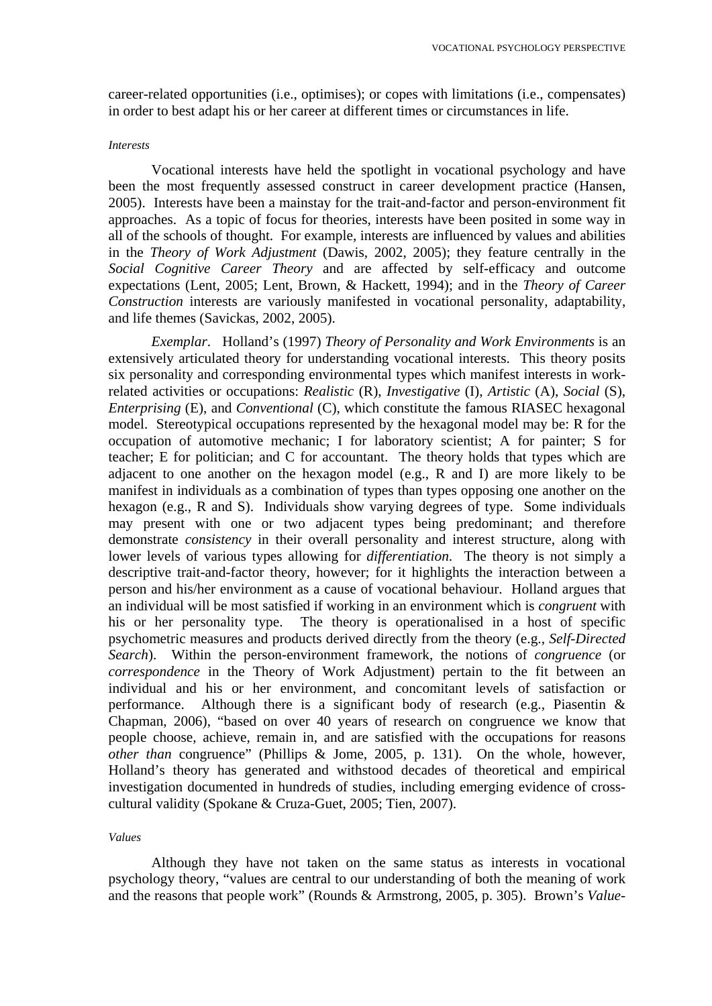career-related opportunities (i.e., optimises); or copes with limitations (i.e., compensates) in order to best adapt his or her career at different times or circumstances in life.

#### *Interests*

Vocational interests have held the spotlight in vocational psychology and have been the most frequently assessed construct in career development practice (Hansen, 2005). Interests have been a mainstay for the trait-and-factor and person-environment fit approaches. As a topic of focus for theories, interests have been posited in some way in all of the schools of thought. For example, interests are influenced by values and abilities in the *Theory of Work Adjustment* (Dawis, 2002, 2005); they feature centrally in the *Social Cognitive Career Theory* and are affected by self-efficacy and outcome expectations (Lent, 2005; Lent, Brown, & Hackett, 1994); and in the *Theory of Career Construction* interests are variously manifested in vocational personality, adaptability, and life themes (Savickas, 2002, 2005).

*Exemplar*. Holland's (1997) *Theory of Personality and Work Environments* is an extensively articulated theory for understanding vocational interests. This theory posits six personality and corresponding environmental types which manifest interests in workrelated activities or occupations: *Realistic* (R), *Investigative* (I), *Artistic* (A), *Social* (S), *Enterprising* (E), and *Conventional* (C), which constitute the famous RIASEC hexagonal model. Stereotypical occupations represented by the hexagonal model may be: R for the occupation of automotive mechanic; I for laboratory scientist; A for painter; S for teacher; E for politician; and C for accountant. The theory holds that types which are adjacent to one another on the hexagon model (e.g., R and I) are more likely to be manifest in individuals as a combination of types than types opposing one another on the hexagon (e.g., R and S). Individuals show varying degrees of type. Some individuals may present with one or two adjacent types being predominant; and therefore demonstrate *consistency* in their overall personality and interest structure, along with lower levels of various types allowing for *differentiation*. The theory is not simply a descriptive trait-and-factor theory, however; for it highlights the interaction between a person and his/her environment as a cause of vocational behaviour. Holland argues that an individual will be most satisfied if working in an environment which is *congruent* with his or her personality type. The theory is operationalised in a host of specific psychometric measures and products derived directly from the theory (e.g., *Self-Directed Search*). Within the person-environment framework, the notions of *congruence* (or *correspondence* in the Theory of Work Adjustment) pertain to the fit between an individual and his or her environment, and concomitant levels of satisfaction or performance. Although there is a significant body of research (e.g., Piasentin & Chapman, 2006), "based on over 40 years of research on congruence we know that people choose, achieve, remain in, and are satisfied with the occupations for reasons *other than* congruence" (Phillips & Jome, 2005, p. 131). On the whole, however, Holland's theory has generated and withstood decades of theoretical and empirical investigation documented in hundreds of studies, including emerging evidence of crosscultural validity (Spokane & Cruza-Guet, 2005; Tien, 2007).

## *Values*

Although they have not taken on the same status as interests in vocational psychology theory, "values are central to our understanding of both the meaning of work and the reasons that people work" (Rounds & Armstrong, 2005, p. 305). Brown's *Value-*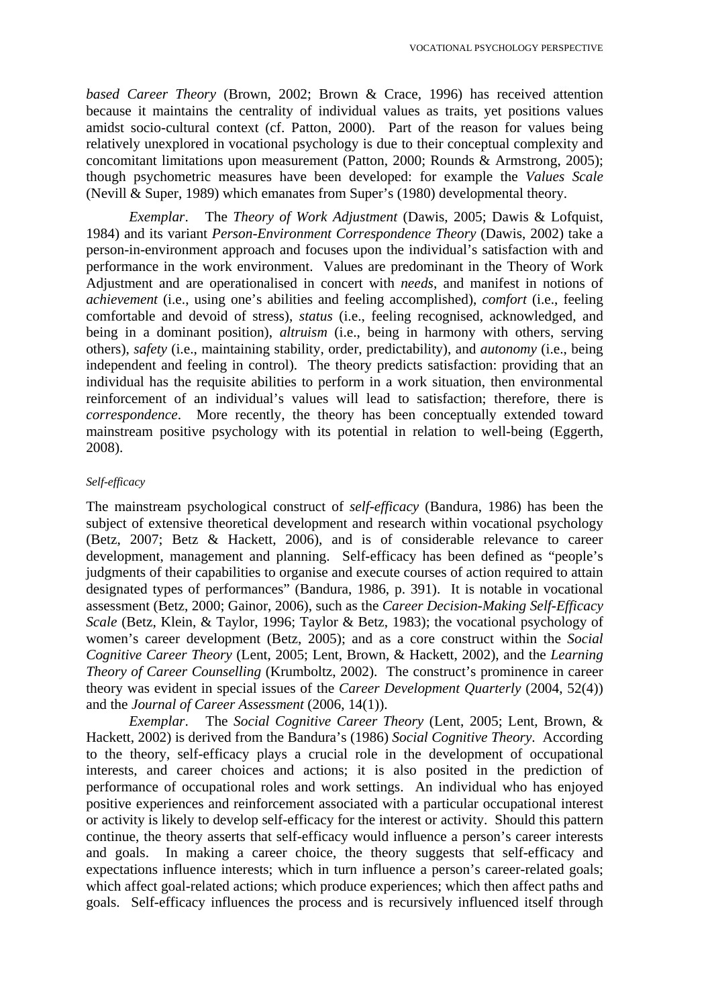*based Career Theory* (Brown, 2002; Brown & Crace, 1996) has received attention because it maintains the centrality of individual values as traits, yet positions values amidst socio-cultural context (cf. Patton, 2000). Part of the reason for values being relatively unexplored in vocational psychology is due to their conceptual complexity and concomitant limitations upon measurement (Patton, 2000; Rounds & Armstrong, 2005); though psychometric measures have been developed: for example the *Values Scale* (Nevill & Super, 1989) which emanates from Super's (1980) developmental theory.

*Exemplar*. The *Theory of Work Adjustment* (Dawis, 2005; Dawis & Lofquist, 1984) and its variant *Person-Environment Correspondence Theory* (Dawis, 2002) take a person-in-environment approach and focuses upon the individual's satisfaction with and performance in the work environment. Values are predominant in the Theory of Work Adjustment and are operationalised in concert with *needs*, and manifest in notions of *achievement* (i.e., using one's abilities and feeling accomplished), *comfort* (i.e., feeling comfortable and devoid of stress), *status* (i.e., feeling recognised, acknowledged, and being in a dominant position), *altruism* (i.e., being in harmony with others, serving others), *safety* (i.e., maintaining stability, order, predictability), and *autonomy* (i.e., being independent and feeling in control). The theory predicts satisfaction: providing that an individual has the requisite abilities to perform in a work situation, then environmental reinforcement of an individual's values will lead to satisfaction; therefore, there is *correspondence*. More recently, the theory has been conceptually extended toward mainstream positive psychology with its potential in relation to well-being (Eggerth, 2008).

## *Self-efficacy*

The mainstream psychological construct of *self-efficacy* (Bandura, 1986) has been the subject of extensive theoretical development and research within vocational psychology (Betz, 2007; Betz & Hackett, 2006), and is of considerable relevance to career development, management and planning. Self-efficacy has been defined as "people's judgments of their capabilities to organise and execute courses of action required to attain designated types of performances" (Bandura, 1986, p. 391). It is notable in vocational assessment (Betz, 2000; Gainor, 2006), such as the *Career Decision-Making Self-Efficacy Scale* (Betz, Klein, & Taylor, 1996; Taylor & Betz, 1983); the vocational psychology of women's career development (Betz, 2005); and as a core construct within the *Social Cognitive Career Theory* (Lent, 2005; Lent, Brown, & Hackett, 2002), and the *Learning Theory of Career Counselling* (Krumboltz, 2002). The construct's prominence in career theory was evident in special issues of the *Career Development Quarterly* (2004, 52(4)) and the *Journal of Career Assessment* (2006, 14(1)).

*Exemplar*. The *Social Cognitive Career Theory* (Lent, 2005; Lent, Brown, & Hackett, 2002) is derived from the Bandura's (1986) *Social Cognitive Theory*. According to the theory, self-efficacy plays a crucial role in the development of occupational interests, and career choices and actions; it is also posited in the prediction of performance of occupational roles and work settings. An individual who has enjoyed positive experiences and reinforcement associated with a particular occupational interest or activity is likely to develop self-efficacy for the interest or activity. Should this pattern continue, the theory asserts that self-efficacy would influence a person's career interests and goals. In making a career choice, the theory suggests that self-efficacy and expectations influence interests; which in turn influence a person's career-related goals; which affect goal-related actions; which produce experiences; which then affect paths and goals. Self-efficacy influences the process and is recursively influenced itself through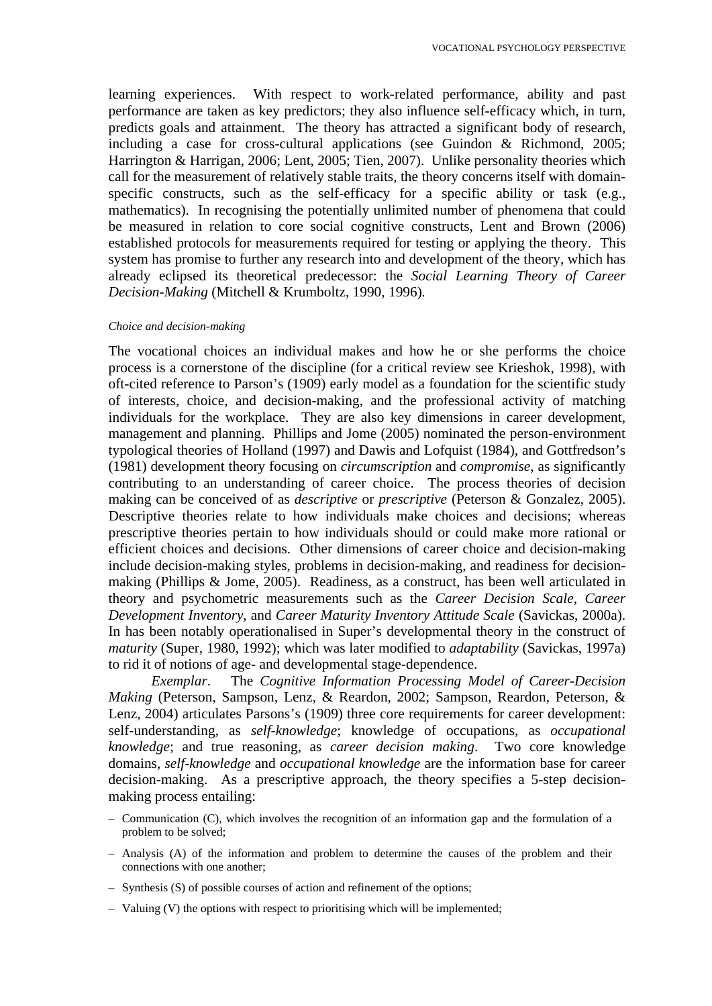learning experiences. With respect to work-related performance, ability and past performance are taken as key predictors; they also influence self-efficacy which, in turn, predicts goals and attainment. The theory has attracted a significant body of research, including a case for cross-cultural applications (see Guindon & Richmond, 2005; Harrington & Harrigan, 2006; Lent, 2005; Tien, 2007). Unlike personality theories which call for the measurement of relatively stable traits, the theory concerns itself with domainspecific constructs, such as the self-efficacy for a specific ability or task (e.g., mathematics). In recognising the potentially unlimited number of phenomena that could be measured in relation to core social cognitive constructs, Lent and Brown (2006) established protocols for measurements required for testing or applying the theory. This system has promise to further any research into and development of the theory, which has already eclipsed its theoretical predecessor: the *Social Learning Theory of Career Decision-Making* (Mitchell & Krumboltz, 1990, 1996)*.*

## *Choice and decision-making*

The vocational choices an individual makes and how he or she performs the choice process is a cornerstone of the discipline (for a critical review see Krieshok, 1998), with oft-cited reference to Parson's (1909) early model as a foundation for the scientific study of interests, choice, and decision-making, and the professional activity of matching individuals for the workplace. They are also key dimensions in career development, management and planning. Phillips and Jome (2005) nominated the person-environment typological theories of Holland (1997) and Dawis and Lofquist (1984), and Gottfredson's (1981) development theory focusing on *circumscription* and *compromise*, as significantly contributing to an understanding of career choice. The process theories of decision making can be conceived of as *descriptive* or *prescriptive* (Peterson & Gonzalez, 2005). Descriptive theories relate to how individuals make choices and decisions; whereas prescriptive theories pertain to how individuals should or could make more rational or efficient choices and decisions. Other dimensions of career choice and decision-making include decision-making styles, problems in decision-making, and readiness for decisionmaking (Phillips & Jome, 2005). Readiness, as a construct, has been well articulated in theory and psychometric measurements such as the *Career Decision Scale*, *Career Development Inventory*, and *Career Maturity Inventory Attitude Scale* (Savickas, 2000a). In has been notably operationalised in Super's developmental theory in the construct of *maturity* (Super, 1980, 1992); which was later modified to *adaptability* (Savickas, 1997a) to rid it of notions of age- and developmental stage-dependence.

*Exemplar*. The *Cognitive Information Processing Model of Career-Decision Making* (Peterson, Sampson, Lenz, & Reardon, 2002; Sampson, Reardon, Peterson, & Lenz, 2004) articulates Parsons's (1909) three core requirements for career development: self-understanding, as *self-knowledge*; knowledge of occupations, as *occupational knowledge*; and true reasoning, as *career decision making*. Two core knowledge domains, *self-knowledge* and *occupational knowledge* are the information base for career decision-making. As a prescriptive approach, the theory specifies a 5-step decisionmaking process entailing:

- Communication (C), which involves the recognition of an information gap and the formulation of a problem to be solved;
- Analysis (A) of the information and problem to determine the causes of the problem and their connections with one another;
- Synthesis (S) of possible courses of action and refinement of the options;
- Valuing (V) the options with respect to prioritising which will be implemented;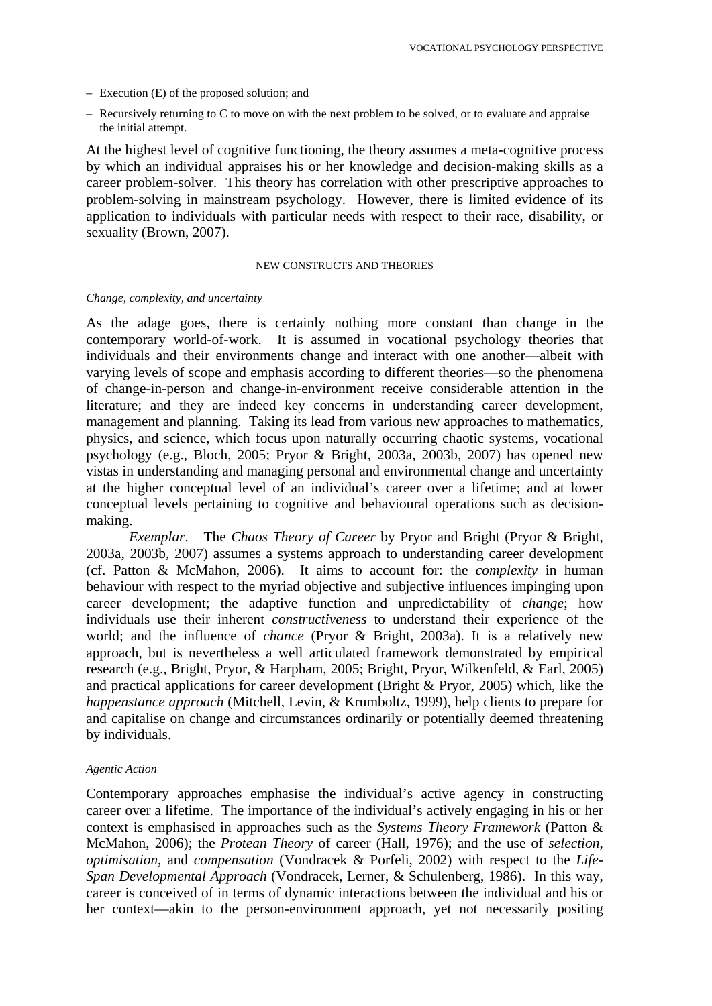- Execution (E) of the proposed solution; and
- Recursively returning to C to move on with the next problem to be solved, or to evaluate and appraise the initial attempt.

At the highest level of cognitive functioning, the theory assumes a meta-cognitive process by which an individual appraises his or her knowledge and decision-making skills as a career problem-solver. This theory has correlation with other prescriptive approaches to problem-solving in mainstream psychology. However, there is limited evidence of its application to individuals with particular needs with respect to their race, disability, or sexuality (Brown, 2007).

## NEW CONSTRUCTS AND THEORIES

#### *Change, complexity, and uncertainty*

As the adage goes, there is certainly nothing more constant than change in the contemporary world-of-work. It is assumed in vocational psychology theories that individuals and their environments change and interact with one another—albeit with varying levels of scope and emphasis according to different theories—so the phenomena of change-in-person and change-in-environment receive considerable attention in the literature; and they are indeed key concerns in understanding career development, management and planning. Taking its lead from various new approaches to mathematics, physics, and science, which focus upon naturally occurring chaotic systems, vocational psychology (e.g., Bloch, 2005; Pryor & Bright, 2003a, 2003b, 2007) has opened new vistas in understanding and managing personal and environmental change and uncertainty at the higher conceptual level of an individual's career over a lifetime; and at lower conceptual levels pertaining to cognitive and behavioural operations such as decisionmaking.

*Exemplar*. The *Chaos Theory of Career* by Pryor and Bright (Pryor & Bright, 2003a, 2003b, 2007) assumes a systems approach to understanding career development (cf. Patton & McMahon, 2006). It aims to account for: the *complexity* in human behaviour with respect to the myriad objective and subjective influences impinging upon career development; the adaptive function and unpredictability of *change*; how individuals use their inherent *constructiveness* to understand their experience of the world; and the influence of *chance* (Pryor & Bright, 2003a). It is a relatively new approach, but is nevertheless a well articulated framework demonstrated by empirical research (e.g., Bright, Pryor, & Harpham, 2005; Bright, Pryor, Wilkenfeld, & Earl, 2005) and practical applications for career development (Bright & Pryor, 2005) which, like the *happenstance approach* (Mitchell, Levin, & Krumboltz, 1999), help clients to prepare for and capitalise on change and circumstances ordinarily or potentially deemed threatening by individuals.

## *Agentic Action*

Contemporary approaches emphasise the individual's active agency in constructing career over a lifetime. The importance of the individual's actively engaging in his or her context is emphasised in approaches such as the *Systems Theory Framework* (Patton & McMahon, 2006); the *Protean Theory* of career (Hall, 1976); and the use of *selection*, *optimisation*, and *compensation* (Vondracek & Porfeli, 2002) with respect to the *Life-Span Developmental Approach* (Vondracek, Lerner, & Schulenberg, 1986). In this way, career is conceived of in terms of dynamic interactions between the individual and his or her context—akin to the person-environment approach, yet not necessarily positing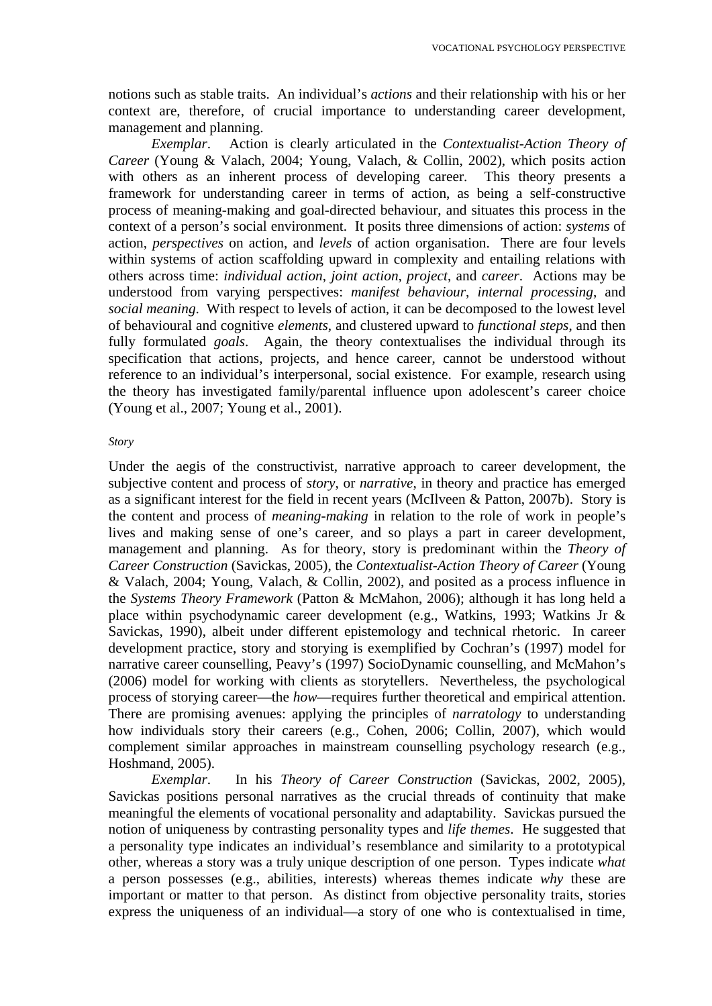notions such as stable traits. An individual's *actions* and their relationship with his or her context are, therefore, of crucial importance to understanding career development, management and planning.

*Exemplar*. Action is clearly articulated in the *Contextualist-Action Theory of Career* (Young & Valach, 2004; Young, Valach, & Collin, 2002), which posits action with others as an inherent process of developing career. This theory presents a framework for understanding career in terms of action, as being a self-constructive process of meaning-making and goal-directed behaviour, and situates this process in the context of a person's social environment. It posits three dimensions of action: *systems* of action, *perspectives* on action, and *levels* of action organisation. There are four levels within systems of action scaffolding upward in complexity and entailing relations with others across time: *individual action*, *joint action*, *project*, and *career*. Actions may be understood from varying perspectives: *manifest behaviour*, *internal processing*, and *social meaning*. With respect to levels of action, it can be decomposed to the lowest level of behavioural and cognitive *elements*, and clustered upward to *functional steps*, and then fully formulated *goals*. Again, the theory contextualises the individual through its specification that actions, projects, and hence career, cannot be understood without reference to an individual's interpersonal, social existence. For example, research using the theory has investigated family/parental influence upon adolescent's career choice (Young et al., 2007; Young et al., 2001).

## *Story*

Under the aegis of the constructivist, narrative approach to career development, the subjective content and process of *story*, or *narrative*, in theory and practice has emerged as a significant interest for the field in recent years (McIlveen & Patton, 2007b). Story is the content and process of *meaning-making* in relation to the role of work in people's lives and making sense of one's career, and so plays a part in career development, management and planning. As for theory, story is predominant within the *Theory of Career Construction* (Savickas, 2005), the *Contextualist-Action Theory of Career* (Young & Valach, 2004; Young, Valach, & Collin, 2002), and posited as a process influence in the *Systems Theory Framework* (Patton & McMahon, 2006); although it has long held a place within psychodynamic career development (e.g., Watkins, 1993; Watkins Jr & Savickas, 1990), albeit under different epistemology and technical rhetoric. In career development practice, story and storying is exemplified by Cochran's (1997) model for narrative career counselling, Peavy's (1997) SocioDynamic counselling, and McMahon's (2006) model for working with clients as storytellers. Nevertheless, the psychological process of storying career—the *how*—requires further theoretical and empirical attention. There are promising avenues: applying the principles of *narratology* to understanding how individuals story their careers (e.g., Cohen, 2006; Collin, 2007), which would complement similar approaches in mainstream counselling psychology research (e.g., Hoshmand, 2005).

*Exemplar*. In his *Theory of Career Construction* (Savickas, 2002, 2005), Savickas positions personal narratives as the crucial threads of continuity that make meaningful the elements of vocational personality and adaptability. Savickas pursued the notion of uniqueness by contrasting personality types and *life themes*. He suggested that a personality type indicates an individual's resemblance and similarity to a prototypical other, whereas a story was a truly unique description of one person. Types indicate *what* a person possesses (e.g., abilities, interests) whereas themes indicate *why* these are important or matter to that person. As distinct from objective personality traits, stories express the uniqueness of an individual—a story of one who is contextualised in time,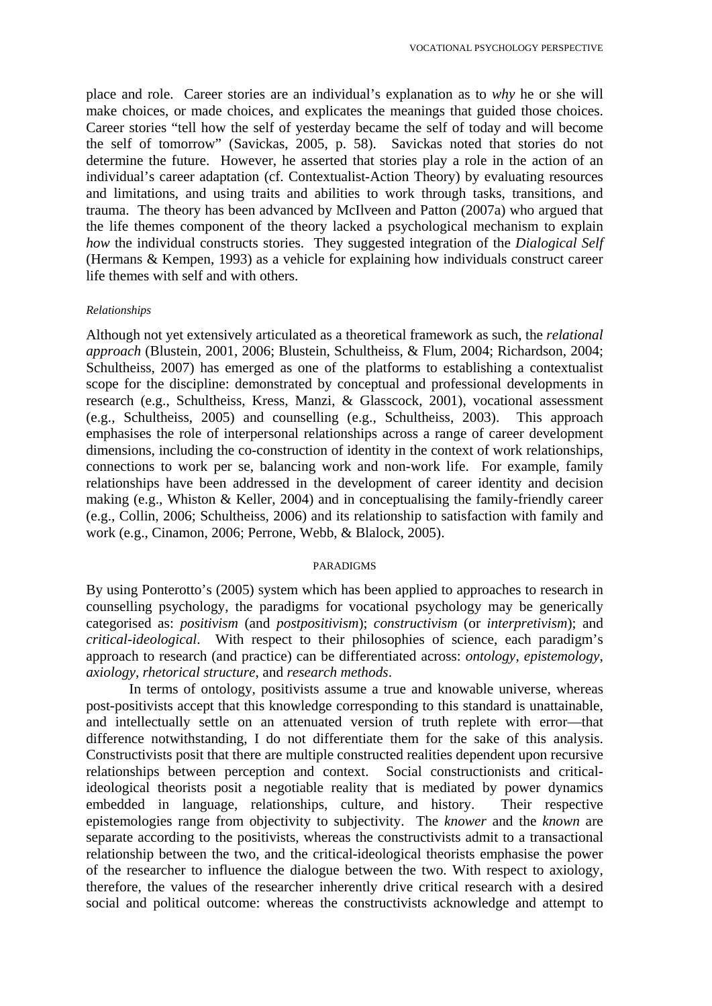place and role. Career stories are an individual's explanation as to *why* he or she will make choices, or made choices, and explicates the meanings that guided those choices. Career stories "tell how the self of yesterday became the self of today and will become the self of tomorrow" (Savickas, 2005, p. 58). Savickas noted that stories do not determine the future. However, he asserted that stories play a role in the action of an individual's career adaptation (cf. Contextualist-Action Theory) by evaluating resources and limitations, and using traits and abilities to work through tasks, transitions, and trauma. The theory has been advanced by McIlveen and Patton (2007a) who argued that the life themes component of the theory lacked a psychological mechanism to explain *how* the individual constructs stories. They suggested integration of the *Dialogical Self* (Hermans & Kempen, 1993) as a vehicle for explaining how individuals construct career life themes with self and with others.

## *Relationships*

Although not yet extensively articulated as a theoretical framework as such, the *relational approach* (Blustein, 2001, 2006; Blustein, Schultheiss, & Flum, 2004; Richardson, 2004; Schultheiss, 2007) has emerged as one of the platforms to establishing a contextualist scope for the discipline: demonstrated by conceptual and professional developments in research (e.g., Schultheiss, Kress, Manzi, & Glasscock, 2001), vocational assessment (e.g., Schultheiss, 2005) and counselling (e.g., Schultheiss, 2003). This approach emphasises the role of interpersonal relationships across a range of career development dimensions, including the co-construction of identity in the context of work relationships, connections to work per se, balancing work and non-work life. For example, family relationships have been addressed in the development of career identity and decision making (e.g., Whiston & Keller, 2004) and in conceptualising the family-friendly career (e.g., Collin, 2006; Schultheiss, 2006) and its relationship to satisfaction with family and work (e.g., Cinamon, 2006; Perrone, Webb, & Blalock, 2005).

#### PARADIGMS

By using Ponterotto's (2005) system which has been applied to approaches to research in counselling psychology, the paradigms for vocational psychology may be generically categorised as: *positivism* (and *postpositivism*); *constructivism* (or *interpretivism*); and *critical-ideological*. With respect to their philosophies of science, each paradigm's approach to research (and practice) can be differentiated across: *ontology*, *epistemology*, *axiology*, *rhetorical structure*, and *research methods*.

In terms of ontology, positivists assume a true and knowable universe, whereas post-positivists accept that this knowledge corresponding to this standard is unattainable, and intellectually settle on an attenuated version of truth replete with error—that difference notwithstanding, I do not differentiate them for the sake of this analysis. Constructivists posit that there are multiple constructed realities dependent upon recursive relationships between perception and context. Social constructionists and criticalideological theorists posit a negotiable reality that is mediated by power dynamics embedded in language, relationships, culture, and history. Their respective epistemologies range from objectivity to subjectivity. The *knower* and the *known* are separate according to the positivists, whereas the constructivists admit to a transactional relationship between the two, and the critical-ideological theorists emphasise the power of the researcher to influence the dialogue between the two. With respect to axiology, therefore, the values of the researcher inherently drive critical research with a desired social and political outcome: whereas the constructivists acknowledge and attempt to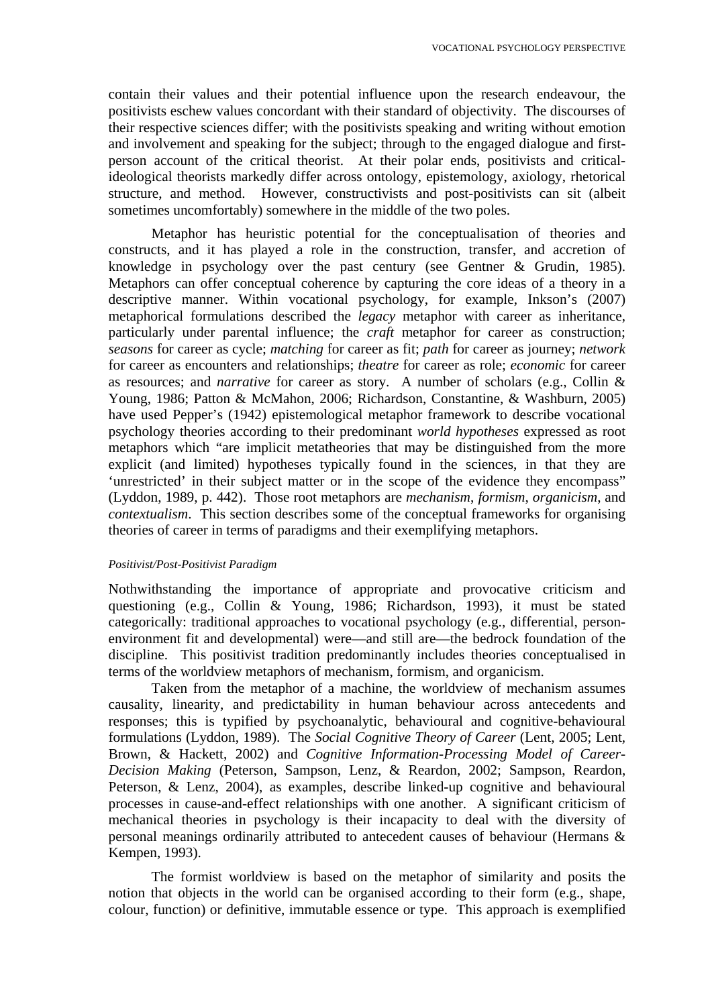contain their values and their potential influence upon the research endeavour, the positivists eschew values concordant with their standard of objectivity. The discourses of their respective sciences differ; with the positivists speaking and writing without emotion and involvement and speaking for the subject; through to the engaged dialogue and firstperson account of the critical theorist. At their polar ends, positivists and criticalideological theorists markedly differ across ontology, epistemology, axiology, rhetorical structure, and method. However, constructivists and post-positivists can sit (albeit sometimes uncomfortably) somewhere in the middle of the two poles.

Metaphor has heuristic potential for the conceptualisation of theories and constructs, and it has played a role in the construction, transfer, and accretion of knowledge in psychology over the past century (see Gentner & Grudin, 1985). Metaphors can offer conceptual coherence by capturing the core ideas of a theory in a descriptive manner. Within vocational psychology, for example, Inkson's (2007) metaphorical formulations described the *legacy* metaphor with career as inheritance, particularly under parental influence; the *craft* metaphor for career as construction; *seasons* for career as cycle; *matching* for career as fit; *path* for career as journey; *network* for career as encounters and relationships; *theatre* for career as role; *economic* for career as resources; and *narrative* for career as story. A number of scholars (e.g., Collin & Young, 1986; Patton & McMahon, 2006; Richardson, Constantine, & Washburn, 2005) have used Pepper's (1942) epistemological metaphor framework to describe vocational psychology theories according to their predominant *world hypotheses* expressed as root metaphors which "are implicit metatheories that may be distinguished from the more explicit (and limited) hypotheses typically found in the sciences, in that they are 'unrestricted' in their subject matter or in the scope of the evidence they encompass" (Lyddon, 1989, p. 442). Those root metaphors are *mechanism*, *formism*, *organicism*, and *contextualism*. This section describes some of the conceptual frameworks for organising theories of career in terms of paradigms and their exemplifying metaphors.

## *Positivist/Post-Positivist Paradigm*

Nothwithstanding the importance of appropriate and provocative criticism and questioning (e.g., Collin & Young, 1986; Richardson, 1993), it must be stated categorically: traditional approaches to vocational psychology (e.g., differential, personenvironment fit and developmental) were—and still are—the bedrock foundation of the discipline. This positivist tradition predominantly includes theories conceptualised in terms of the worldview metaphors of mechanism, formism, and organicism.

Taken from the metaphor of a machine, the worldview of mechanism assumes causality, linearity, and predictability in human behaviour across antecedents and responses; this is typified by psychoanalytic, behavioural and cognitive-behavioural formulations (Lyddon, 1989). The *Social Cognitive Theory of Career* (Lent, 2005; Lent, Brown, & Hackett, 2002) and *Cognitive Information-Processing Model of Career-Decision Making* (Peterson, Sampson, Lenz, & Reardon, 2002; Sampson, Reardon, Peterson, & Lenz, 2004), as examples, describe linked-up cognitive and behavioural processes in cause-and-effect relationships with one another. A significant criticism of mechanical theories in psychology is their incapacity to deal with the diversity of personal meanings ordinarily attributed to antecedent causes of behaviour (Hermans & Kempen, 1993).

The formist worldview is based on the metaphor of similarity and posits the notion that objects in the world can be organised according to their form (e.g., shape, colour, function) or definitive, immutable essence or type. This approach is exemplified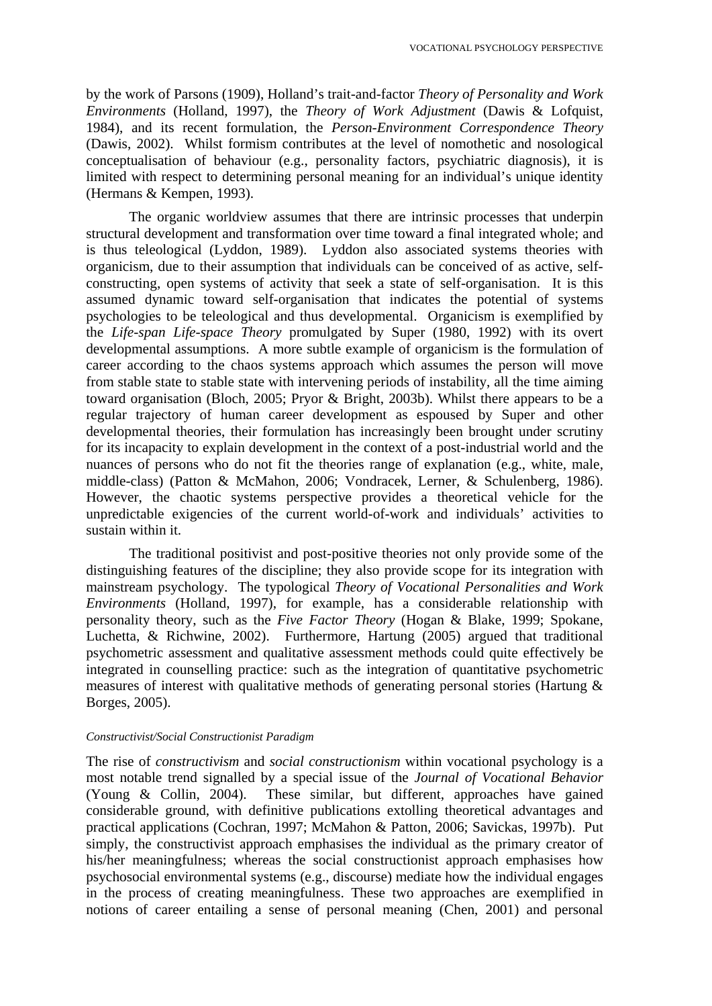by the work of Parsons (1909), Holland's trait-and-factor *Theory of Personality and Work Environments* (Holland, 1997), the *Theory of Work Adjustment* (Dawis & Lofquist, 1984), and its recent formulation, the *Person-Environment Correspondence Theory*  (Dawis, 2002). Whilst formism contributes at the level of nomothetic and nosological conceptualisation of behaviour (e.g., personality factors, psychiatric diagnosis), it is limited with respect to determining personal meaning for an individual's unique identity (Hermans & Kempen, 1993).

The organic worldview assumes that there are intrinsic processes that underpin structural development and transformation over time toward a final integrated whole; and is thus teleological (Lyddon, 1989). Lyddon also associated systems theories with organicism, due to their assumption that individuals can be conceived of as active, selfconstructing, open systems of activity that seek a state of self-organisation. It is this assumed dynamic toward self-organisation that indicates the potential of systems psychologies to be teleological and thus developmental. Organicism is exemplified by the *Life-span Life-space Theory* promulgated by Super (1980, 1992) with its overt developmental assumptions. A more subtle example of organicism is the formulation of career according to the chaos systems approach which assumes the person will move from stable state to stable state with intervening periods of instability, all the time aiming toward organisation (Bloch, 2005; Pryor & Bright, 2003b). Whilst there appears to be a regular trajectory of human career development as espoused by Super and other developmental theories, their formulation has increasingly been brought under scrutiny for its incapacity to explain development in the context of a post-industrial world and the nuances of persons who do not fit the theories range of explanation (e.g., white, male, middle-class) (Patton & McMahon, 2006; Vondracek, Lerner, & Schulenberg, 1986). However, the chaotic systems perspective provides a theoretical vehicle for the unpredictable exigencies of the current world-of-work and individuals' activities to sustain within it.

The traditional positivist and post-positive theories not only provide some of the distinguishing features of the discipline; they also provide scope for its integration with mainstream psychology. The typological *Theory of Vocational Personalities and Work Environments* (Holland, 1997), for example, has a considerable relationship with personality theory, such as the *Five Factor Theory* (Hogan & Blake, 1999; Spokane, Luchetta, & Richwine, 2002). Furthermore, Hartung (2005) argued that traditional psychometric assessment and qualitative assessment methods could quite effectively be integrated in counselling practice: such as the integration of quantitative psychometric measures of interest with qualitative methods of generating personal stories (Hartung & Borges, 2005).

## *Constructivist/Social Constructionist Paradigm*

The rise of *constructivism* and *social constructionism* within vocational psychology is a most notable trend signalled by a special issue of the *Journal of Vocational Behavior* (Young & Collin, 2004). These similar, but different, approaches have gained considerable ground, with definitive publications extolling theoretical advantages and practical applications (Cochran, 1997; McMahon & Patton, 2006; Savickas, 1997b). Put simply, the constructivist approach emphasises the individual as the primary creator of his/her meaningfulness; whereas the social constructionist approach emphasises how psychosocial environmental systems (e.g., discourse) mediate how the individual engages in the process of creating meaningfulness. These two approaches are exemplified in notions of career entailing a sense of personal meaning (Chen, 2001) and personal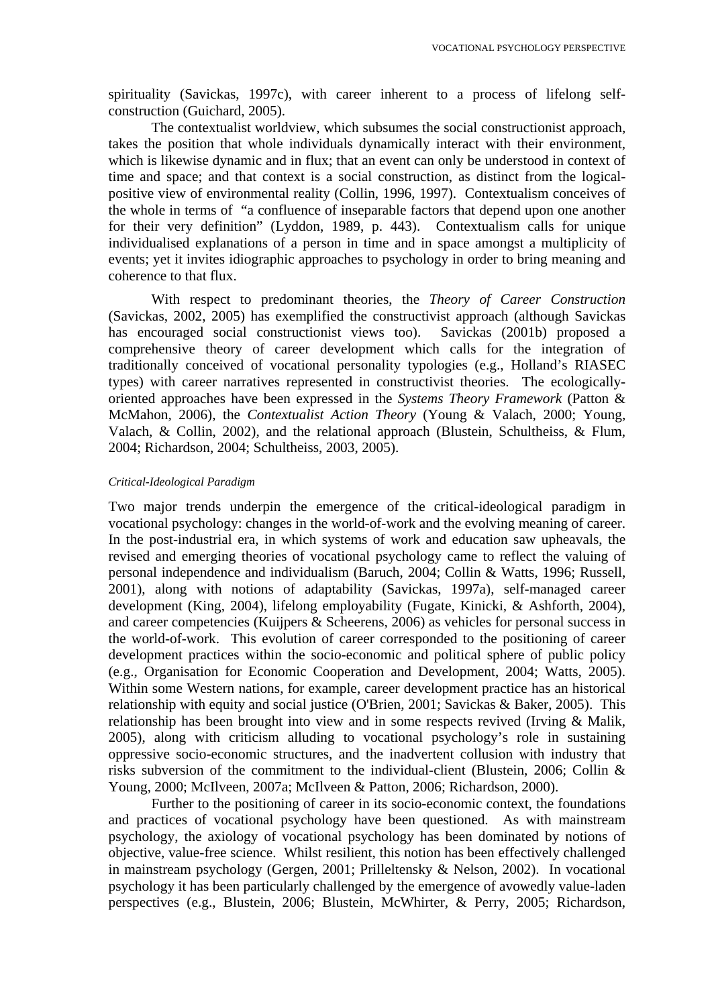spirituality (Savickas, 1997c), with career inherent to a process of lifelong selfconstruction (Guichard, 2005).

The contextualist worldview, which subsumes the social constructionist approach, takes the position that whole individuals dynamically interact with their environment, which is likewise dynamic and in flux; that an event can only be understood in context of time and space; and that context is a social construction, as distinct from the logicalpositive view of environmental reality (Collin, 1996, 1997). Contextualism conceives of the whole in terms of "a confluence of inseparable factors that depend upon one another for their very definition" (Lyddon, 1989, p. 443). Contextualism calls for unique individualised explanations of a person in time and in space amongst a multiplicity of events; yet it invites idiographic approaches to psychology in order to bring meaning and coherence to that flux.

With respect to predominant theories, the *Theory of Career Construction* (Savickas, 2002, 2005) has exemplified the constructivist approach (although Savickas has encouraged social constructionist views too). Savickas (2001b) proposed a comprehensive theory of career development which calls for the integration of traditionally conceived of vocational personality typologies (e.g., Holland's RIASEC types) with career narratives represented in constructivist theories. The ecologicallyoriented approaches have been expressed in the *Systems Theory Framework* (Patton & McMahon, 2006), the *Contextualist Action Theory* (Young & Valach, 2000; Young, Valach, & Collin, 2002), and the relational approach (Blustein, Schultheiss, & Flum, 2004; Richardson, 2004; Schultheiss, 2003, 2005).

## *Critical-Ideological Paradigm*

Two major trends underpin the emergence of the critical-ideological paradigm in vocational psychology: changes in the world-of-work and the evolving meaning of career. In the post-industrial era, in which systems of work and education saw upheavals, the revised and emerging theories of vocational psychology came to reflect the valuing of personal independence and individualism (Baruch, 2004; Collin & Watts, 1996; Russell, 2001), along with notions of adaptability (Savickas, 1997a), self-managed career development (King, 2004), lifelong employability (Fugate, Kinicki, & Ashforth, 2004), and career competencies (Kuijpers & Scheerens, 2006) as vehicles for personal success in the world-of-work. This evolution of career corresponded to the positioning of career development practices within the socio-economic and political sphere of public policy (e.g., Organisation for Economic Cooperation and Development, 2004; Watts, 2005). Within some Western nations, for example, career development practice has an historical relationship with equity and social justice (O'Brien, 2001; Savickas & Baker, 2005). This relationship has been brought into view and in some respects revived (Irving & Malik, 2005), along with criticism alluding to vocational psychology's role in sustaining oppressive socio-economic structures, and the inadvertent collusion with industry that risks subversion of the commitment to the individual-client (Blustein, 2006; Collin & Young, 2000; McIlveen, 2007a; McIlveen & Patton, 2006; Richardson, 2000).

Further to the positioning of career in its socio-economic context, the foundations and practices of vocational psychology have been questioned. As with mainstream psychology, the axiology of vocational psychology has been dominated by notions of objective, value-free science. Whilst resilient, this notion has been effectively challenged in mainstream psychology (Gergen, 2001; Prilleltensky & Nelson, 2002). In vocational psychology it has been particularly challenged by the emergence of avowedly value-laden perspectives (e.g., Blustein, 2006; Blustein, McWhirter, & Perry, 2005; Richardson,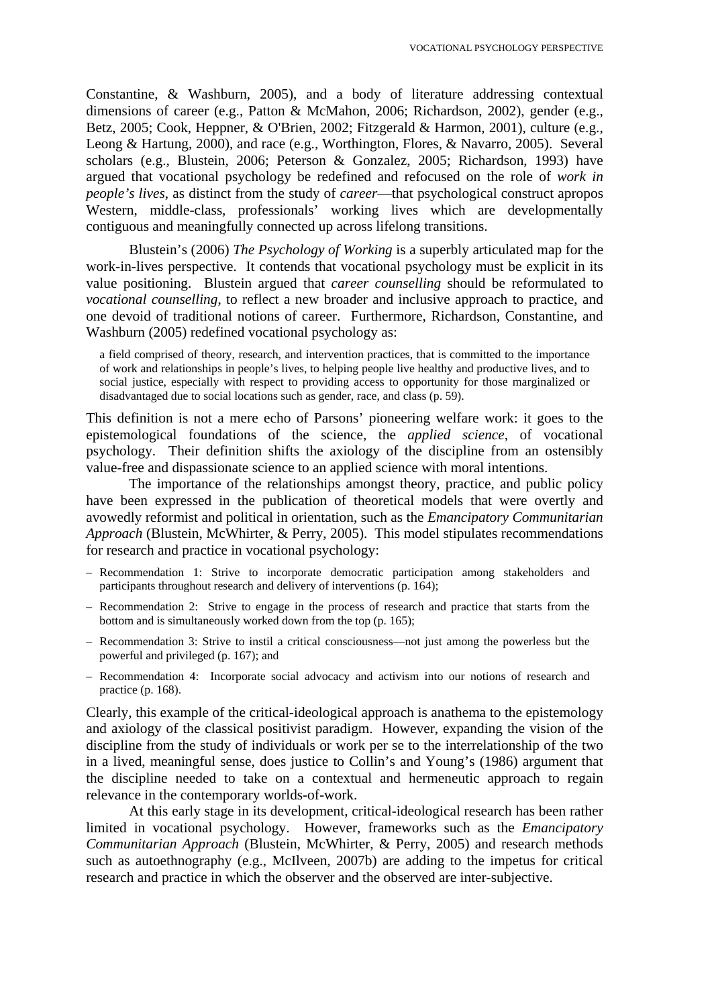Constantine, & Washburn, 2005), and a body of literature addressing contextual dimensions of career (e.g., Patton & McMahon, 2006; Richardson, 2002), gender (e.g., Betz, 2005; Cook, Heppner, & O'Brien, 2002; Fitzgerald & Harmon, 2001), culture (e.g., Leong & Hartung, 2000), and race (e.g., Worthington, Flores, & Navarro, 2005). Several scholars (e.g., Blustein, 2006; Peterson & Gonzalez, 2005; Richardson, 1993) have argued that vocational psychology be redefined and refocused on the role of *work in people's lives*, as distinct from the study of *career*—that psychological construct apropos Western, middle-class, professionals' working lives which are developmentally contiguous and meaningfully connected up across lifelong transitions.

Blustein's (2006) *The Psychology of Working* is a superbly articulated map for the work-in-lives perspective. It contends that vocational psychology must be explicit in its value positioning. Blustein argued that *career counselling* should be reformulated to *vocational counselling*, to reflect a new broader and inclusive approach to practice, and one devoid of traditional notions of career. Furthermore, Richardson, Constantine, and Washburn (2005) redefined vocational psychology as:

a field comprised of theory, research, and intervention practices, that is committed to the importance of work and relationships in people's lives, to helping people live healthy and productive lives, and to social justice, especially with respect to providing access to opportunity for those marginalized or disadvantaged due to social locations such as gender, race, and class (p. 59).

This definition is not a mere echo of Parsons' pioneering welfare work: it goes to the epistemological foundations of the science, the *applied science*, of vocational psychology. Their definition shifts the axiology of the discipline from an ostensibly value-free and dispassionate science to an applied science with moral intentions.

The importance of the relationships amongst theory, practice, and public policy have been expressed in the publication of theoretical models that were overtly and avowedly reformist and political in orientation, such as the *Emancipatory Communitarian Approach* (Blustein, McWhirter, & Perry, 2005). This model stipulates recommendations for research and practice in vocational psychology:

- Recommendation 1: Strive to incorporate democratic participation among stakeholders and participants throughout research and delivery of interventions (p. 164);
- Recommendation 2: Strive to engage in the process of research and practice that starts from the bottom and is simultaneously worked down from the top (p. 165);
- Recommendation 3: Strive to instil a critical consciousness—not just among the powerless but the powerful and privileged (p. 167); and
- Recommendation 4: Incorporate social advocacy and activism into our notions of research and practice (p. 168).

Clearly, this example of the critical-ideological approach is anathema to the epistemology and axiology of the classical positivist paradigm. However, expanding the vision of the discipline from the study of individuals or work per se to the interrelationship of the two in a lived, meaningful sense, does justice to Collin's and Young's (1986) argument that the discipline needed to take on a contextual and hermeneutic approach to regain relevance in the contemporary worlds-of-work.

At this early stage in its development, critical-ideological research has been rather limited in vocational psychology. However, frameworks such as the *Emancipatory Communitarian Approach* (Blustein, McWhirter, & Perry, 2005) and research methods such as autoethnography (e.g., McIlveen, 2007b) are adding to the impetus for critical research and practice in which the observer and the observed are inter-subjective.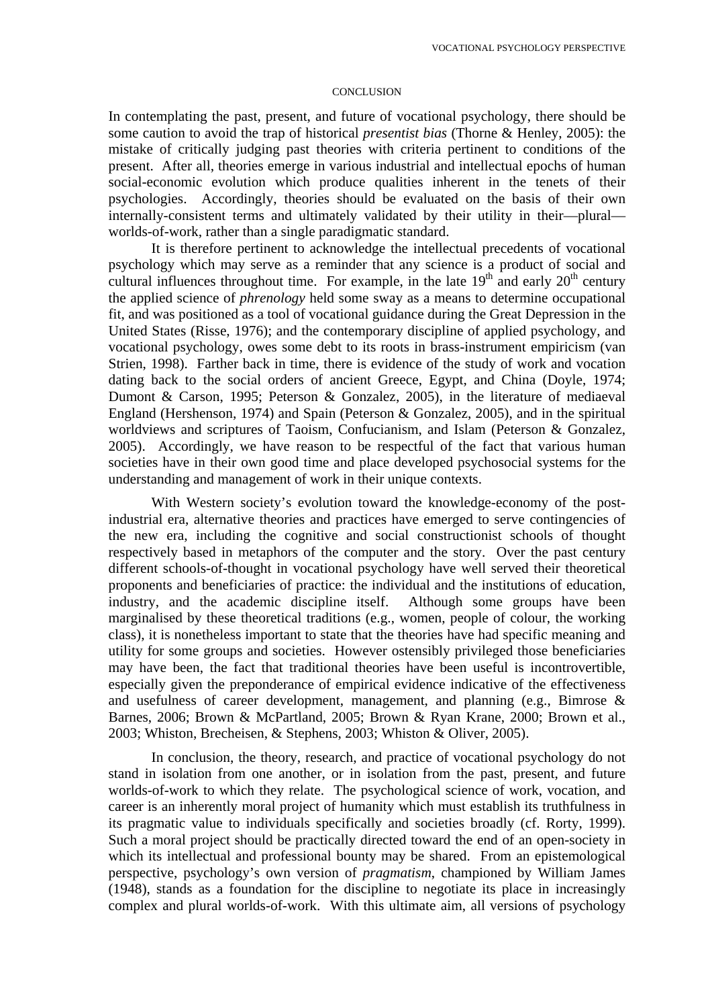#### **CONCLUSION**

In contemplating the past, present, and future of vocational psychology, there should be some caution to avoid the trap of historical *presentist bias* (Thorne & Henley, 2005): the mistake of critically judging past theories with criteria pertinent to conditions of the present. After all, theories emerge in various industrial and intellectual epochs of human social-economic evolution which produce qualities inherent in the tenets of their psychologies. Accordingly, theories should be evaluated on the basis of their own internally-consistent terms and ultimately validated by their utility in their—plural worlds-of-work, rather than a single paradigmatic standard.

It is therefore pertinent to acknowledge the intellectual precedents of vocational psychology which may serve as a reminder that any science is a product of social and cultural influences throughout time. For example, in the late  $19<sup>th</sup>$  and early  $20<sup>th</sup>$  century the applied science of *phrenology* held some sway as a means to determine occupational fit, and was positioned as a tool of vocational guidance during the Great Depression in the United States (Risse, 1976); and the contemporary discipline of applied psychology, and vocational psychology, owes some debt to its roots in brass-instrument empiricism (van Strien, 1998). Farther back in time, there is evidence of the study of work and vocation dating back to the social orders of ancient Greece, Egypt, and China (Doyle, 1974; Dumont & Carson, 1995; Peterson & Gonzalez, 2005), in the literature of mediaeval England (Hershenson, 1974) and Spain (Peterson & Gonzalez, 2005), and in the spiritual worldviews and scriptures of Taoism, Confucianism, and Islam (Peterson & Gonzalez, 2005). Accordingly, we have reason to be respectful of the fact that various human societies have in their own good time and place developed psychosocial systems for the understanding and management of work in their unique contexts.

With Western society's evolution toward the knowledge-economy of the postindustrial era, alternative theories and practices have emerged to serve contingencies of the new era, including the cognitive and social constructionist schools of thought respectively based in metaphors of the computer and the story. Over the past century different schools-of-thought in vocational psychology have well served their theoretical proponents and beneficiaries of practice: the individual and the institutions of education, industry, and the academic discipline itself. Although some groups have been marginalised by these theoretical traditions (e.g., women, people of colour, the working class), it is nonetheless important to state that the theories have had specific meaning and utility for some groups and societies. However ostensibly privileged those beneficiaries may have been, the fact that traditional theories have been useful is incontrovertible, especially given the preponderance of empirical evidence indicative of the effectiveness and usefulness of career development, management, and planning (e.g., Bimrose  $\&$ Barnes, 2006; Brown & McPartland, 2005; Brown & Ryan Krane, 2000; Brown et al., 2003; Whiston, Brecheisen, & Stephens, 2003; Whiston & Oliver, 2005).

In conclusion, the theory, research, and practice of vocational psychology do not stand in isolation from one another, or in isolation from the past, present, and future worlds-of-work to which they relate. The psychological science of work, vocation, and career is an inherently moral project of humanity which must establish its truthfulness in its pragmatic value to individuals specifically and societies broadly (cf. Rorty, 1999). Such a moral project should be practically directed toward the end of an open-society in which its intellectual and professional bounty may be shared. From an epistemological perspective, psychology's own version of *pragmatism*, championed by William James (1948), stands as a foundation for the discipline to negotiate its place in increasingly complex and plural worlds-of-work. With this ultimate aim, all versions of psychology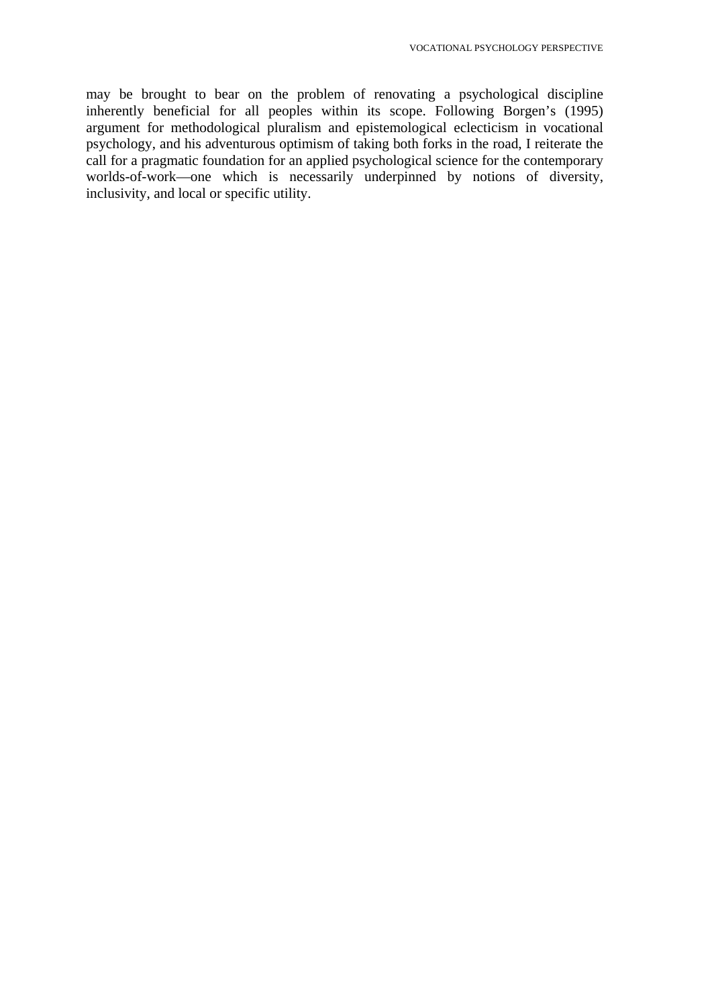may be brought to bear on the problem of renovating a psychological discipline inherently beneficial for all peoples within its scope. Following Borgen's (1995) argument for methodological pluralism and epistemological eclecticism in vocational psychology, and his adventurous optimism of taking both forks in the road, I reiterate the call for a pragmatic foundation for an applied psychological science for the contemporary worlds-of-work—one which is necessarily underpinned by notions of diversity, inclusivity, and local or specific utility.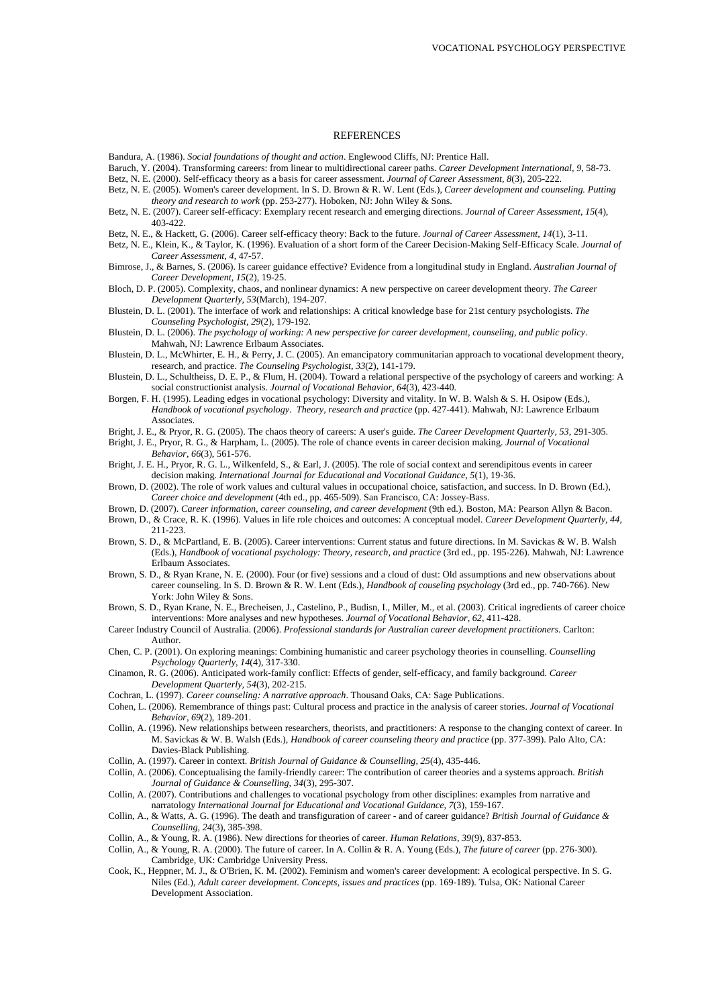#### **REFERENCES**

- Bandura, A. (1986). *Social foundations of thought and action*. Englewood Cliffs, NJ: Prentice Hall.
- Baruch, Y. (2004). Transforming careers: from linear to multidirectional career paths. *Career Development International, 9*, 58-73.
- Betz, N. E. (2000). Self-efficacy theory as a basis for career assessment. *Journal of Career Assessment, 8*(3), 205-222.
- Betz, N. E. (2005). Women's career development. In S. D. Brown & R. W. Lent (Eds.), *Career development and counseling. Putting theory and research to work* (pp. 253-277). Hoboken, NJ: John Wiley & Sons.
- Betz, N. E. (2007). Career self-efficacy: Exemplary recent research and emerging directions. *Journal of Career Assessment, 15*(4), 403-422.
- Betz, N. E., & Hackett, G. (2006). Career self-efficacy theory: Back to the future. *Journal of Career Assessment, 14*(1), 3-11.
- Betz, N. E., Klein, K., & Taylor, K. (1996). Evaluation of a short form of the Career Decision-Making Self-Efficacy Scale. *Journal of Career Assessment, 4*, 47-57.
- Bimrose, J., & Barnes, S. (2006). Is career guidance effective? Evidence from a longitudinal study in England. *Australian Journal of Career Development, 15*(2), 19-25.
- Bloch, D. P. (2005). Complexity, chaos, and nonlinear dynamics: A new perspective on career development theory. *The Career Development Quarterly, 53*(March), 194-207.
- Blustein, D. L. (2001). The interface of work and relationships: A critical knowledge base for 21st century psychologists. *The Counseling Psychologist, 29*(2), 179-192.

Blustein, D. L. (2006). *The psychology of working: A new perspective for career development, counseling, and public policy*. Mahwah, NJ: Lawrence Erlbaum Associates.

Blustein, D. L., McWhirter, E. H., & Perry, J. C. (2005). An emancipatory communitarian approach to vocational development theory, research, and practice. *The Counseling Psychologist, 33*(2), 141-179.

- Blustein, D. L., Schultheiss, D. E. P., & Flum, H. (2004). Toward a relational perspective of the psychology of careers and working: A social constructionist analysis. *Journal of Vocational Behavior, 64*(3), 423-440.
- Borgen, F. H. (1995). Leading edges in vocational psychology: Diversity and vitality. In W. B. Walsh & S. H. Osipow (Eds.), *Handbook of vocational psychology. Theory, research and practice* (pp. 427-441). Mahwah, NJ: Lawrence Erlbaum Associates.
- Bright, J. E., & Pryor, R. G. (2005). The chaos theory of careers: A user's guide. *The Career Development Quarterly, 53*, 291-305.
- Bright, J. E., Pryor, R. G., & Harpham, L. (2005). The role of chance events in career decision making. *Journal of Vocational Behavior, 66*(3), 561-576.
- Bright, J. E. H., Pryor, R. G. L., Wilkenfeld, S., & Earl, J. (2005). The role of social context and serendipitous events in career decision making. *International Journal for Educational and Vocational Guidance, 5*(1), 19-36.
- Brown, D. (2002). The role of work values and cultural values in occupational choice, satisfaction, and success. In D. Brown (Ed.), *Career choice and development* (4th ed., pp. 465-509). San Francisco, CA: Jossey-Bass.
- Brown, D. (2007). *Career information, career counseling, and career development* (9th ed.). Boston, MA: Pearson Allyn & Bacon.
- Brown, D., & Crace, R. K. (1996). Values in life role choices and outcomes: A conceptual model. *Career Development Quarterly, 44*, 211-223.
- Brown, S. D., & McPartland, E. B. (2005). Career interventions: Current status and future directions. In M. Savickas & W. B. Walsh (Eds.), *Handbook of vocational psychology: Theory, research, and practice* (3rd ed., pp. 195-226). Mahwah, NJ: Lawrence Erlbaum Associates.
- Brown, S. D., & Ryan Krane, N. E. (2000). Four (or five) sessions and a cloud of dust: Old assumptions and new observations about career counseling. In S. D. Brown & R. W. Lent (Eds.), *Handbook of couseling psychology* (3rd ed., pp. 740-766). New York: John Wiley & Sons.
- Brown, S. D., Ryan Krane, N. E., Brecheisen, J., Castelino, P., Budisn, I., Miller, M., et al. (2003). Critical ingredients of career choice interventions: More analyses and new hypotheses. *Journal of Vocational Behavior, 62*, 411-428.
- Career Industry Council of Australia. (2006). *Professional standards for Australian career development practitioners*. Carlton: Author.
- Chen, C. P. (2001). On exploring meanings: Combining humanistic and career psychology theories in counselling. *Counselling Psychology Quarterly, 14*(4), 317-330.
- Cinamon, R. G. (2006). Anticipated work-family conflict: Effects of gender, self-efficacy, and family background. *Career Development Quarterly, 54*(3), 202-215.
- Cochran, L. (1997). *Career counseling: A narrative approach*. Thousand Oaks, CA: Sage Publications.
- Cohen, L. (2006). Remembrance of things past: Cultural process and practice in the analysis of career stories. *Journal of Vocational Behavior, 69*(2), 189-201.
- Collin, A. (1996). New relationships between researchers, theorists, and practitioners: A response to the changing context of career. In M. Savickas & W. B. Walsh (Eds.), *Handbook of career counseling theory and practice* (pp. 377-399). Palo Alto, CA: Davies-Black Publishing.
- Collin, A. (1997). Career in context. *British Journal of Guidance & Counselling, 25*(4), 435-446.
- Collin, A. (2006). Conceptualising the family-friendly career: The contribution of career theories and a systems approach. *British Journal of Guidance & Counselling, 34*(3), 295-307.
- Collin, A. (2007). Contributions and challenges to vocational psychology from other disciplines: examples from narrative and narratology *International Journal for Educational and Vocational Guidance, 7*(3), 159-167.
- Collin, A., & Watts, A. G. (1996). The death and transfiguration of career and of career guidance? *British Journal of Guidance & Counselling, 24*(3), 385-398.
- Collin, A., & Young, R. A. (1986). New directions for theories of career. *Human Relations, 39*(9), 837-853.
- Collin, A., & Young, R. A. (2000). The future of career. In A. Collin & R. A. Young (Eds.), *The future of career* (pp. 276-300). Cambridge, UK: Cambridge University Press.
- Cook, K., Heppner, M. J., & O'Brien, K. M. (2002). Feminism and women's career development: A ecological perspective. In S. G. Niles (Ed.), *Adult career development. Concepts, issues and practices* (pp. 169-189). Tulsa, OK: National Career Development Association.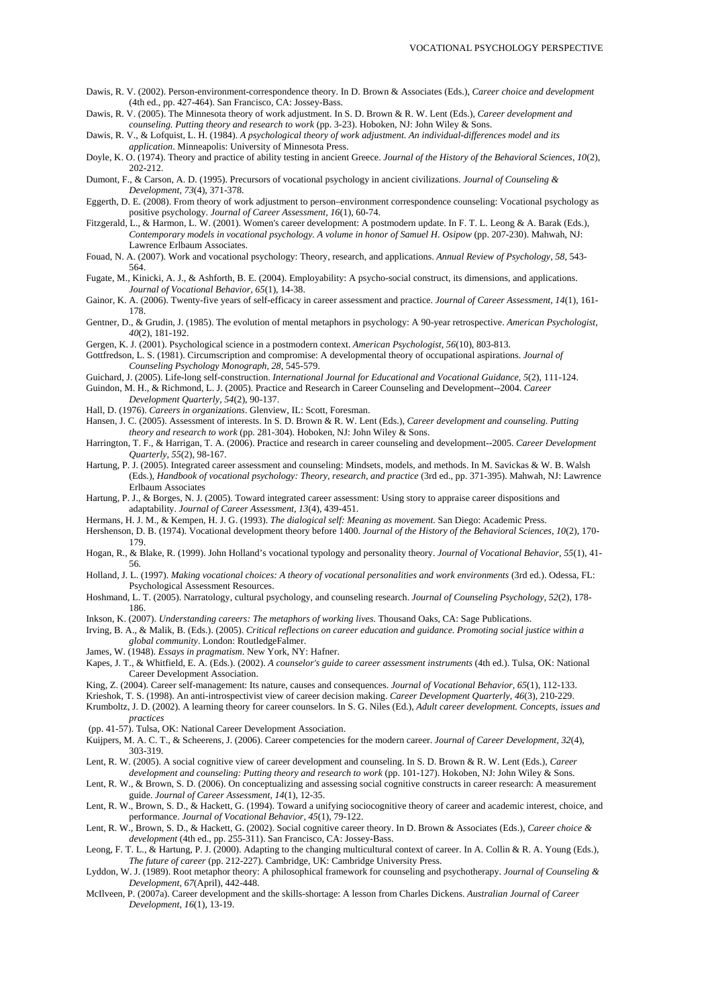- Dawis, R. V. (2002). Person-environment-correspondence theory. In D. Brown & Associates (Eds.), *Career choice and development* (4th ed., pp. 427-464). San Francisco, CA: Jossey-Bass.
- Dawis, R. V. (2005). The Minnesota theory of work adjustment. In S. D. Brown & R. W. Lent (Eds.), *Career development and counseling. Putting theory and research to work* (pp. 3-23). Hoboken, NJ: John Wiley & Sons.
- Dawis, R. V., & Lofquist, L. H. (1984). *A psychological theory of work adjustment. An individual-differences model and its application*. Minneapolis: University of Minnesota Press.
- Doyle, K. O. (1974). Theory and practice of ability testing in ancient Greece. *Journal of the History of the Behavioral Sciences, 10*(2), 202-212.
- Dumont, F., & Carson, A. D. (1995). Precursors of vocational psychology in ancient civilizations. *Journal of Counseling & Development, 73*(4), 371-378.
- Eggerth, D. E. (2008). From theory of work adjustment to person–environment correspondence counseling: Vocational psychology as positive psychology. *Journal of Career Assessment, 16*(1), 60-74.
- Fitzgerald, L., & Harmon, L. W. (2001). Women's career development: A postmodern update. In F. T. L. Leong & A. Barak (Eds.), *Contemporary models in vocational psychology. A volume in honor of Samuel H. Osipow* (pp. 207-230). Mahwah, NJ: Lawrence Erlbaum Associates.
- Fouad, N. A. (2007). Work and vocational psychology: Theory, research, and applications. *Annual Review of Psychology, 58*, 543- 564.
- Fugate, M., Kinicki, A. J., & Ashforth, B. E. (2004). Employability: A psycho-social construct, its dimensions, and applications. *Journal of Vocational Behavior, 65*(1), 14-38.
- Gainor, K. A. (2006). Twenty-five years of self-efficacy in career assessment and practice. *Journal of Career Assessment, 14*(1), 161- 178.
- Gentner, D., & Grudin, J. (1985). The evolution of mental metaphors in psychology: A 90-year retrospective. *American Psychologist, 40*(2), 181-192.
- Gergen, K. J. (2001). Psychological science in a postmodern context. *American Psychologist, 56*(10), 803-813.

Gottfredson, L. S. (1981). Circumscription and compromise: A developmental theory of occupational aspirations. *Journal of Counseling Psychology Monograph, 28*, 545-579.

Guichard, J. (2005). Life-long self-construction. *International Journal for Educational and Vocational Guidance, 5*(2), 111-124.

Guindon, M. H., & Richmond, L. J. (2005). Practice and Research in Career Counseling and Development--2004. *Career Development Quarterly, 54*(2), 90-137.

- Hall, D. (1976). *Careers in organizations*. Glenview, IL: Scott, Foresman.
- Hansen, J. C. (2005). Assessment of interests. In S. D. Brown & R. W. Lent (Eds.), *Career development and counseling. Putting theory and research to work* (pp. 281-304). Hoboken, NJ: John Wiley & Sons.
- Harrington, T. F., & Harrigan, T. A. (2006). Practice and research in career counseling and development--2005. *Career Development Quarterly, 55*(2), 98-167.
- Hartung, P. J. (2005). Integrated career assessment and counseling: Mindsets, models, and methods. In M. Savickas & W. B. Walsh (Eds.), *Handbook of vocational psychology: Theory, research, and practice* (3rd ed., pp. 371-395). Mahwah, NJ: Lawrence Erlbaum Associates
- Hartung, P. J., & Borges, N. J. (2005). Toward integrated career assessment: Using story to appraise career dispositions and adaptability. *Journal of Career Assessment, 13*(4), 439-451.
- Hermans, H. J. M., & Kempen, H. J. G. (1993). *The dialogical self: Meaning as movement.* San Diego: Academic Press.
- Hershenson, D. B. (1974). Vocational development theory before 1400. *Journal of the History of the Behavioral Sciences, 10*(2), 170- 179.
- Hogan, R., & Blake, R. (1999). John Holland's vocational typology and personality theory. *Journal of Vocational Behavior, 55*(1), 41- 56.
- Holland, J. L. (1997). *Making vocational choices: A theory of vocational personalities and work environments* (3rd ed.). Odessa, FL: Psychological Assessment Resources.
- Hoshmand, L. T. (2005). Narratology, cultural psychology, and counseling research. *Journal of Counseling Psychology, 52*(2), 178- 186.
- Inkson, K. (2007). *Understanding careers: The metaphors of working lives*. Thousand Oaks, CA: Sage Publications.
- Irving, B. A., & Malik, B. (Eds.). (2005). *Critical reflections on career education and guidance. Promoting social justice within a global community*. London: RoutledgeFalmer.

James, W. (1948). *Essays in pragmatism*. New York, NY: Hafner.

- Kapes, J. T., & Whitfield, E. A. (Eds.). (2002). *A counselor's guide to career assessment instruments* (4th ed.). Tulsa, OK: National Career Development Association.
- King, Z. (2004). Career self-management: Its nature, causes and consequences. *Journal of Vocational Behavior, 65*(1), 112-133.
- Krieshok, T. S. (1998). An anti-introspectivist view of career decision making. *Career Development Quarterly, 46*(3), 210-229. Krumboltz, J. D. (2002). A learning theory for career counselors. In S. G. Niles (Ed.), *Adult career development. Concepts, issues and*
- *practices*  (pp. 41-57). Tulsa, OK: National Career Development Association.
- 
- Kuijpers, M. A. C. T., & Scheerens, J. (2006). Career competencies for the modern career. *Journal of Career Development, 32*(4), 303-319.
- Lent, R. W. (2005). A social cognitive view of career development and counseling. In S. D. Brown & R. W. Lent (Eds.), *Career development and counseling: Putting theory and research to work* (pp. 101-127). Hokoben, NJ: John Wiley & Sons.
- Lent, R. W., & Brown, S. D. (2006). On conceptualizing and assessing social cognitive constructs in career research: A measurement guide. *Journal of Career Assessment, 14*(1), 12-35.
- Lent, R. W., Brown, S. D., & Hackett, G. (1994). Toward a unifying sociocognitive theory of career and academic interest, choice, and performance. *Journal of Vocational Behavior, 45*(1), 79-122.
- Lent, R. W., Brown, S. D., & Hackett, G. (2002). Social cognitive career theory. In D. Brown & Associates (Eds.), *Career choice & development* (4th ed., pp. 255-311). San Francisco, CA: Jossey-Bass.
- Leong, F. T. L., & Hartung, P. J. (2000). Adapting to the changing multicultural context of career. In A. Collin & R. A. Young (Eds.), *The future of career* (pp. 212-227). Cambridge, UK: Cambridge University Press.
- Lyddon, W. J. (1989). Root metaphor theory: A philosophical framework for counseling and psychotherapy. *Journal of Counseling & Development, 67*(April), 442-448.
- McIlveen, P. (2007a). Career development and the skills-shortage: A lesson from Charles Dickens. *Australian Journal of Career Development, 16*(1), 13-19.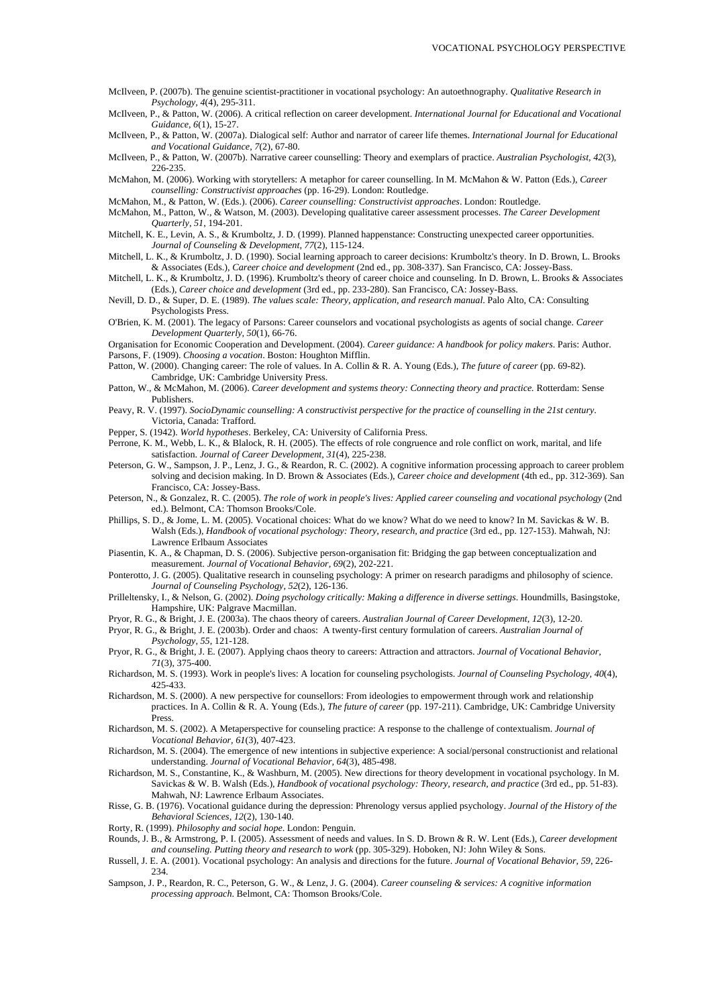- McIlveen, P. (2007b). The genuine scientist-practitioner in vocational psychology: An autoethnography. *Qualitative Research in Psychology, 4*(4), 295-311.
- McIlveen, P., & Patton, W. (2006). A critical reflection on career development. *International Journal for Educational and Vocational Guidance, 6*(1), 15-27.
- McIlveen, P., & Patton, W. (2007a). Dialogical self: Author and narrator of career life themes. *International Journal for Educational and Vocational Guidance, 7*(2), 67-80.
- McIlveen, P., & Patton, W. (2007b). Narrative career counselling: Theory and exemplars of practice. *Australian Psychologist, 42*(3), 226-235.
- McMahon, M. (2006). Working with storytellers: A metaphor for career counselling. In M. McMahon & W. Patton (Eds.), *Career counselling: Constructivist approaches* (pp. 16-29). London: Routledge.
- McMahon, M., & Patton, W. (Eds.). (2006). *Career counselling: Constructivist approaches*. London: Routledge.
- McMahon, M., Patton, W., & Watson, M. (2003). Developing qualitative career assessment processes. *The Career Development Quarterly, 51*, 194-201.
- Mitchell, K. E., Levin, A. S., & Krumboltz, J. D. (1999). Planned happenstance: Constructing unexpected career opportunities. *Journal of Counseling & Development, 77*(2), 115-124.
- Mitchell, L. K., & Krumboltz, J. D. (1990). Social learning approach to career decisions: Krumboltz's theory. In D. Brown, L. Brooks & Associates (Eds.), *Career choice and development* (2nd ed., pp. 308-337). San Francisco, CA: Jossey-Bass.
- Mitchell, L. K., & Krumboltz, J. D. (1996). Krumboltz's theory of career choice and counseling. In D. Brown, L. Brooks & Associates (Eds.), *Career choice and development* (3rd ed., pp. 233-280). San Francisco, CA: Jossey-Bass.
- Nevill, D. D., & Super, D. E. (1989). *The values scale: Theory, application, and research manual*. Palo Alto, CA: Consulting Psychologists Press.
- O'Brien, K. M. (2001). The legacy of Parsons: Career counselors and vocational psychologists as agents of social change. *Career Development Quarterly, 50*(1), 66-76.

Organisation for Economic Cooperation and Development. (2004). *Career guidance: A handbook for policy makers*. Paris: Author. Parsons, F. (1909). *Choosing a vocation*. Boston: Houghton Mifflin.

- Patton, W. (2000). Changing career: The role of values. In A. Collin & R. A. Young (Eds.), *The future of career* (pp. 69-82). Cambridge, UK: Cambridge University Press.
- Patton, W., & McMahon, M. (2006). *Career development and systems theory: Connecting theory and practice.* Rotterdam: Sense Publishers.
- Peavy, R. V. (1997). *SocioDynamic counselling: A constructivist perspective for the practice of counselling in the 21st century*. Victoria, Canada: Trafford.
- Pepper, S. (1942). *World hypotheses*. Berkeley, CA: University of California Press.
- Perrone, K. M., Webb, L. K., & Blalock, R. H. (2005). The effects of role congruence and role conflict on work, marital, and life satisfaction. *Journal of Career Development, 31*(4), 225-238.
- Peterson, G. W., Sampson, J. P., Lenz, J. G., & Reardon, R. C. (2002). A cognitive information processing approach to career problem solving and decision making. In D. Brown & Associates (Eds.), *Career choice and development* (4th ed., pp. 312-369). San Francisco, CA: Jossey-Bass.
- Peterson, N., & Gonzalez, R. C. (2005). *The role of work in people's lives: Applied career counseling and vocational psychology* (2nd ed.). Belmont, CA: Thomson Brooks/Cole.
- Phillips, S. D., & Jome, L. M. (2005). Vocational choices: What do we know? What do we need to know? In M. Savickas & W. B. Walsh (Eds.), *Handbook of vocational psychology: Theory, research, and practice* (3rd ed., pp. 127-153). Mahwah, NJ: Lawrence Erlbaum Associates
- Piasentin, K. A., & Chapman, D. S. (2006). Subjective person-organisation fit: Bridging the gap between conceptualization and measurement. *Journal of Vocational Behavior, 69*(2), 202-221.
- Ponterotto, J. G. (2005). Qualitative research in counseling psychology: A primer on research paradigms and philosophy of science. *Journal of Counseling Psychology, 52*(2), 126-136.
- Prilleltensky, I., & Nelson, G. (2002). *Doing psychology critically: Making a difference in diverse settings*. Houndmills, Basingstoke, Hampshire, UK: Palgrave Macmillan.
- Pryor, R. G., & Bright, J. E. (2003a). The chaos theory of careers. *Australian Journal of Career Development, 12*(3), 12-20.
- Pryor, R. G., & Bright, J. E. (2003b). Order and chaos: A twenty-first century formulation of careers. *Australian Journal of Psychology, 55*, 121-128.
- Pryor, R. G., & Bright, J. E. (2007). Applying chaos theory to careers: Attraction and attractors. *Journal of Vocational Behavior, 71*(3), 375-400.
- Richardson, M. S. (1993). Work in people's lives: A location for counseling psychologists. *Journal of Counseling Psychology, 40*(4), 425-433.
- Richardson, M. S. (2000). A new perspective for counsellors: From ideologies to empowerment through work and relationship practices. In A. Collin & R. A. Young (Eds.), *The future of career* (pp. 197-211). Cambridge, UK: Cambridge University Press.
- Richardson, M. S. (2002). A Metaperspective for counseling practice: A response to the challenge of contextualism. *Journal of Vocational Behavior, 61*(3), 407-423.
- Richardson, M. S. (2004). The emergence of new intentions in subjective experience: A social/personal constructionist and relational understanding. *Journal of Vocational Behavior, 64*(3), 485-498.
- Richardson, M. S., Constantine, K., & Washburn, M. (2005). New directions for theory development in vocational psychology. In M. Savickas & W. B. Walsh (Eds.), *Handbook of vocational psychology: Theory, research, and practice* (3rd ed., pp. 51-83). Mahwah, NJ: Lawrence Erlbaum Associates.
- Risse, G. B. (1976). Vocational guidance during the depression: Phrenology versus applied psychology. *Journal of the History of the Behavioral Sciences, 12*(2), 130-140.
- Rorty, R. (1999). *Philosophy and social hope*. London: Penguin.
- Rounds, J. B., & Armstrong, P. I. (2005). Assessment of needs and values. In S. D. Brown & R. W. Lent (Eds.), *Career development and counseling. Putting theory and research to work* (pp. 305-329). Hoboken, NJ: John Wiley & Sons.
- Russell, J. E. A. (2001). Vocational psychology: An analysis and directions for the future. *Journal of Vocational Behavior, 59*, 226- 234.
- Sampson, J. P., Reardon, R. C., Peterson, G. W., & Lenz, J. G. (2004). *Career counseling & services: A cognitive information processing approach*. Belmont, CA: Thomson Brooks/Cole.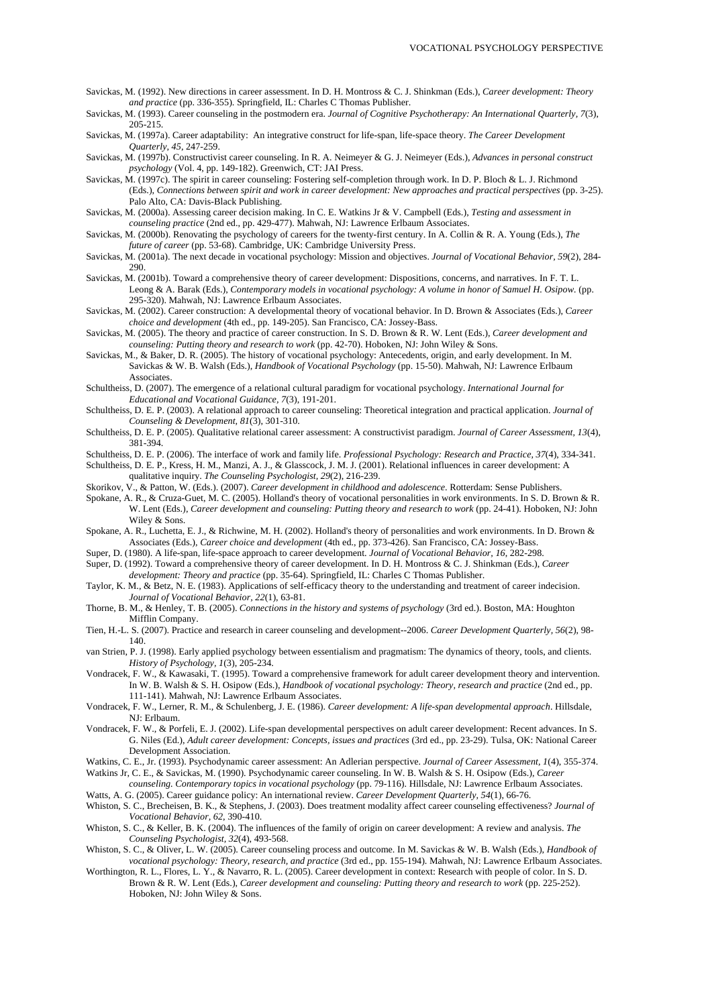- Savickas, M. (1992). New directions in career assessment. In D. H. Montross & C. J. Shinkman (Eds.), *Career development: Theory and practice* (pp. 336-355). Springfield, IL: Charles C Thomas Publisher.
- Savickas, M. (1993). Career counseling in the postmodern era. *Journal of Cognitive Psychotherapy: An International Quarterly, 7*(3), 205-215.
- Savickas, M. (1997a). Career adaptability: An integrative construct for life-span, life-space theory. *The Career Development Quarterly, 45*, 247-259.

Savickas, M. (1997b). Constructivist career counseling. In R. A. Neimeyer & G. J. Neimeyer (Eds.), *Advances in personal construct psychology* (Vol. 4, pp. 149-182). Greenwich, CT: JAI Press.

- Savickas, M. (1997c). The spirit in career counseling: Fostering self-completion through work. In D. P. Bloch & L. J. Richmond (Eds.), *Connections between spirit and work in career development: New approaches and practical perspectives* (pp. 3-25). Palo Alto, CA: Davis-Black Publishing.
- Savickas, M. (2000a). Assessing career decision making. In C. E. Watkins Jr & V. Campbell (Eds.), *Testing and assessment in counseling practice* (2nd ed., pp. 429-477). Mahwah, NJ: Lawrence Erlbaum Associates.
- Savickas, M. (2000b). Renovating the psychology of careers for the twenty-first century. In A. Collin & R. A. Young (Eds.), *The future of career* (pp. 53-68). Cambridge, UK: Cambridge University Press.
- Savickas, M. (2001a). The next decade in vocational psychology: Mission and objectives. *Journal of Vocational Behavior, 59*(2), 284- 290.
- Savickas, M. (2001b). Toward a comprehensive theory of career development: Dispositions, concerns, and narratives. In F. T. L. Leong & A. Barak (Eds.), *Contemporary models in vocational psychology: A volume in honor of Samuel H. Osipow.* (pp. 295-320). Mahwah, NJ: Lawrence Erlbaum Associates.
- Savickas, M. (2002). Career construction: A developmental theory of vocational behavior. In D. Brown & Associates (Eds.), *Career choice and development* (4th ed., pp. 149-205). San Francisco, CA: Jossey-Bass.
- Savickas, M. (2005). The theory and practice of career construction. In S. D. Brown & R. W. Lent (Eds.), *Career development and counseling: Putting theory and research to work* (pp. 42-70). Hoboken, NJ: John Wiley & Sons.
- Savickas, M., & Baker, D. R. (2005). The history of vocational psychology: Antecedents, origin, and early development. In M. Savickas & W. B. Walsh (Eds.), *Handbook of Vocational Psychology* (pp. 15-50). Mahwah, NJ: Lawrence Erlbaum Associates.
- Schultheiss, D. (2007). The emergence of a relational cultural paradigm for vocational psychology. *International Journal for Educational and Vocational Guidance, 7*(3), 191-201.
- Schultheiss, D. E. P. (2003). A relational approach to career counseling: Theoretical integration and practical application. *Journal of Counseling & Development, 81*(3), 301-310.
- Schultheiss, D. E. P. (2005). Qualitative relational career assessment: A constructivist paradigm. *Journal of Career Assessment, 13*(4), 381-394.
- Schultheiss, D. E. P. (2006). The interface of work and family life. *Professional Psychology: Research and Practice, 37*(4), 334-341. Schultheiss, D. E. P., Kress, H. M., Manzi, A. J., & Glasscock, J. M. J. (2001). Relational influences in career development: A
- qualitative inquiry. *The Counseling Psychologist, 29*(2), 216-239.
- Skorikov, V., & Patton, W. (Eds.). (2007). *Career development in childhood and adolescence*. Rotterdam: Sense Publishers.
- Spokane, A. R., & Cruza-Guet, M. C. (2005). Holland's theory of vocational personalities in work environments. In S. D. Brown & R. W. Lent (Eds.), *Career development and counseling: Putting theory and research to work* (pp. 24-41). Hoboken, NJ: John Wiley & Sons.
- Spokane, A. R., Luchetta, E. J., & Richwine, M. H. (2002). Holland's theory of personalities and work environments. In D. Brown & Associates (Eds.), *Career choice and development* (4th ed., pp. 373-426). San Francisco, CA: Jossey-Bass.
- Super, D. (1980). A life-span, life-space approach to career development. *Journal of Vocational Behavior, 16*, 282-298.
- Super, D. (1992). Toward a comprehensive theory of career development. In D. H. Montross & C. J. Shinkman (Eds.), *Career development: Theory and practice* (pp. 35-64). Springfield, IL: Charles C Thomas Publisher.
- Taylor, K. M., & Betz, N. E. (1983). Applications of self-efficacy theory to the understanding and treatment of career indecision. *Journal of Vocational Behavior, 22*(1), 63-81.
- Thorne, B. M., & Henley, T. B. (2005). *Connections in the history and systems of psychology* (3rd ed.). Boston, MA: Houghton Mifflin Company.
- Tien, H.-L. S. (2007). Practice and research in career counseling and development--2006. *Career Development Quarterly, 56*(2), 98- 140.
- van Strien, P. J. (1998). Early applied psychology between essentialism and pragmatism: The dynamics of theory, tools, and clients. *History of Psychology, 1*(3), 205-234.
- Vondracek, F. W., & Kawasaki, T. (1995). Toward a comprehensive framework for adult career development theory and intervention. In W. B. Walsh & S. H. Osipow (Eds.), *Handbook of vocational psychology: Theory, research and practice* (2nd ed., pp. 111-141). Mahwah, NJ: Lawrence Erlbaum Associates.
- Vondracek, F. W., Lerner, R. M., & Schulenberg, J. E. (1986). *Career development: A life-span developmental approach*. Hillsdale, NJ: Erlbaum.
- Vondracek, F. W., & Porfeli, E. J. (2002). Life-span developmental perspectives on adult career development: Recent advances. In S. G. Niles (Ed.), *Adult career development: Concepts, issues and practices* (3rd ed., pp. 23-29). Tulsa, OK: National Career Development Association.
- Watkins, C. E., Jr. (1993). Psychodynamic career assessment: An Adlerian perspective. *Journal of Career Assessment, 1*(4), 355-374. Watkins Jr, C. E., & Savickas, M. (1990). Psychodynamic career counseling. In W. B. Walsh & S. H. Osipow (Eds.), *Career*
- *counseling. Contemporary topics in vocational psychology* (pp. 79-116). Hillsdale, NJ: Lawrence Erlbaum Associates. Watts, A. G. (2005). Career guidance policy: An international review. *Career Development Quarterly, 54*(1), 66-76.

- Whiston, S. C., Brecheisen, B. K., & Stephens, J. (2003). Does treatment modality affect career counseling effectiveness? *Journal of Vocational Behavior, 62*, 390-410.
- Whiston, S. C., & Keller, B. K. (2004). The influences of the family of origin on career development: A review and analysis. *The Counseling Psychologist, 32*(4), 493-568.
- Whiston, S. C., & Oliver, L. W. (2005). Career counseling process and outcome. In M. Savickas & W. B. Walsh (Eds.), *Handbook of vocational psychology: Theory, research, and practice* (3rd ed., pp. 155-194). Mahwah, NJ: Lawrence Erlbaum Associates.
- Worthington, R. L., Flores, L. Y., & Navarro, R. L. (2005). Career development in context: Research with people of color. In S. D. Brown & R. W. Lent (Eds.), *Career development and counseling: Putting theory and research to work* (pp. 225-252). Hoboken, NJ: John Wiley & Sons.